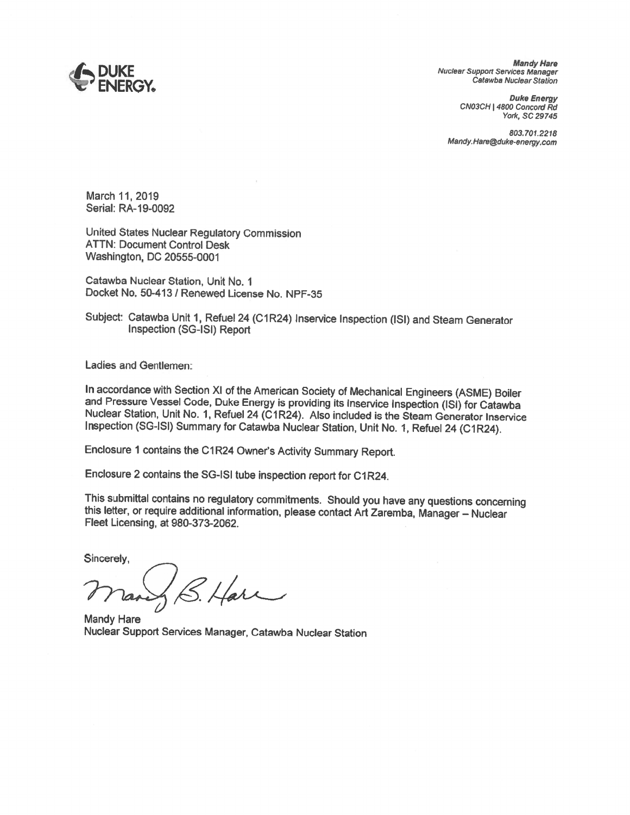

*Mandy Hare Nuclear Support SeNices Manager Catawba Nuclear Station* 

> *Duke Energy CN03CH* I *4800 Concord Rd York,* SC *29745*

*803,701.2218 Mandy.Hare@duke-energy.com* 

March 11, 2019 Serial: RA-19-0092

United States Nuclear Regulatory Commission ATTN: Document Control Desk Washington, DC 20555-0001

Catawba Nuclear Station, Unit No. 1 Docket No. 50-413 / Renewed License No. NPF-35

Subject: Catawba Unit 1, Refuel 24 (C1R24) Inservice Inspection (ISI) and Steam Generator Inspection (SG-ISI) Report

Ladies and Gentlemen:

In accordance with Section XI of the American Society of Mechanical Engineers (ASME) Boiler and Pressure Vessel Code, Duke Energy is providing its inservice Inspection (ISI) for Catawba Nuclear Station, Unit No. 1, Refuel

Enclosure 1 contains the C1R24 Owner's Activity Summary Report.

Enclosure 2 contains the SG-ISI tube inspection report for C1R24.

This submittal contains no regulatory commitments. Should you have any questions concerning this letter, or require additional information, please contact Art Zaremba, Manager - Nuclear Fleet Licensing, at 980-373-2062.

Sincerely,

S. Harr

Mandy Hare Nuclear Support Services Manager, Catawba Nuclear Station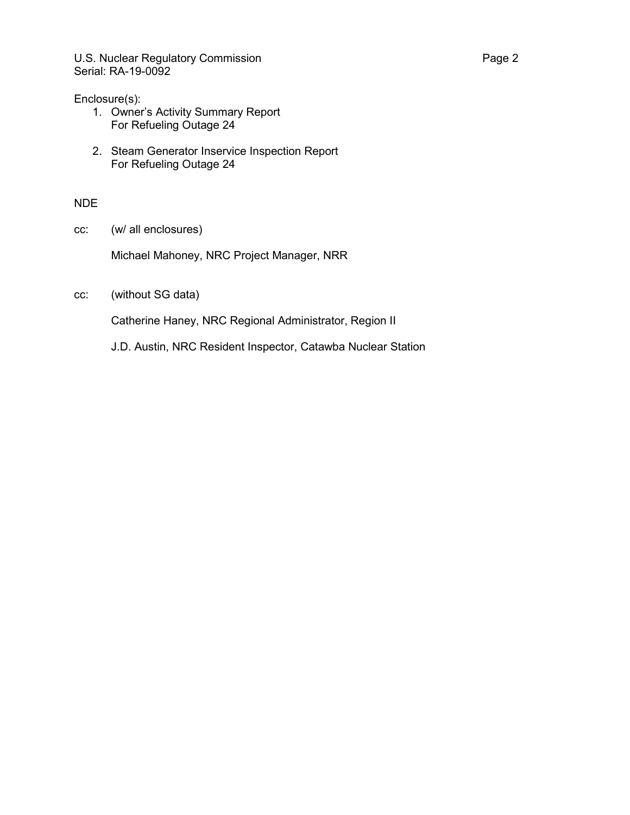U.S. Nuclear Regulatory Commission **Page 2** Serial: RA-19-0092

### Enclosure(s):

- 1. Owner's Activity Summary Report For Refueling Outage 24
- 2. Steam Generator Inservice Inspection Report For Refueling Outage 24

### NDE

cc: (w/ all enclosures)

Michael Mahoney, NRC Project Manager, NRR

cc: (without SG data)

Catherine Haney, NRC Regional Administrator, Region II

J.D. Austin, NRC Resident Inspector, Catawba Nuclear Station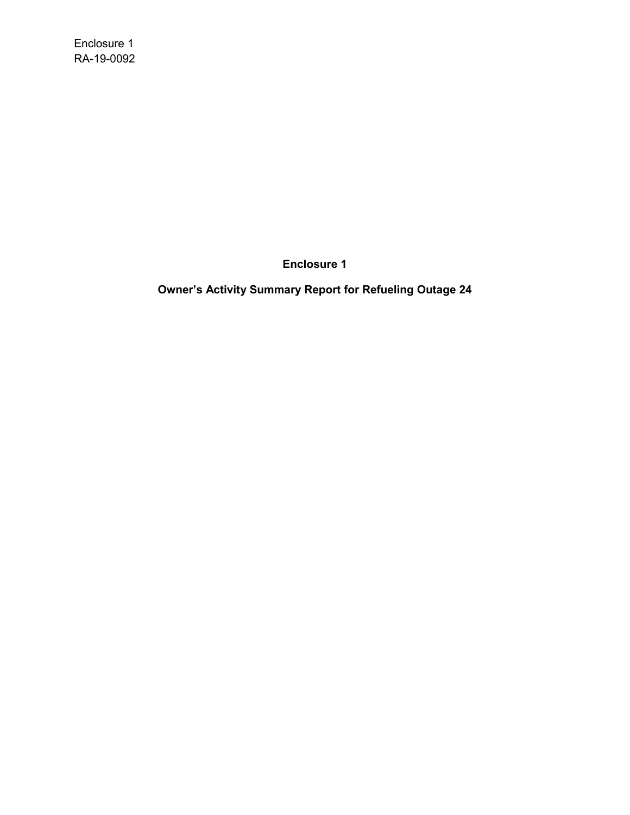Enclosure 1 RA-19-0092

**Enclosure 1**

**Owner's Activity Summary Report for Refueling Outage 24**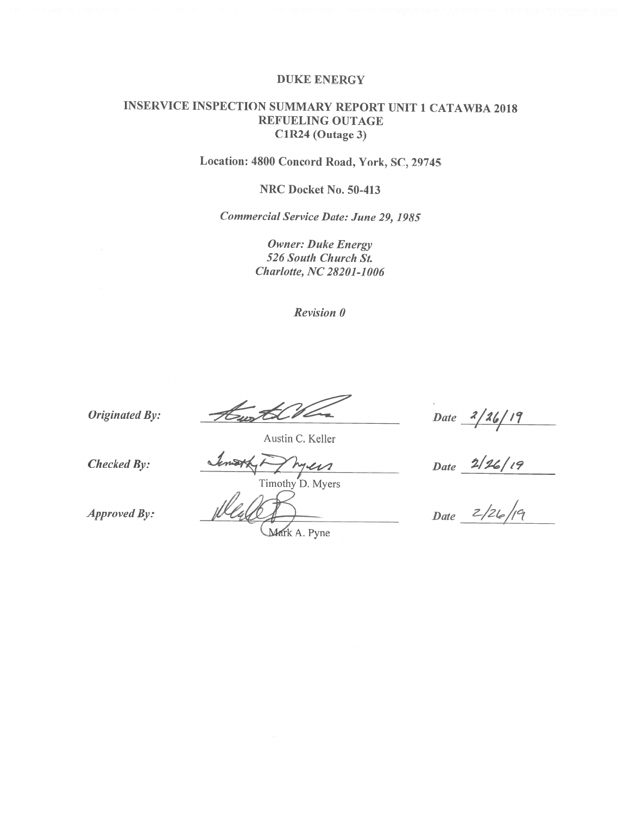#### DUKE ENERGY

### INSERVICE INSPECTION SUMMARY REPORT UNIT **1** CATAWBA 2018 REFUELING OUTAGE C1R24 (Outage 3)

Location: 4800 Concord Road, York, SC, 29745

NRC Docket No. 50-413

*Commercial Service Date: June 29, 1985* 

*Owner: Duke Energy 526 South Church St. Charlotte, NC 28201-1006* 

*Revision 0* 

*Originated By:* 

 $\mathcal{H}_{\mu\nu}$ 

*Date* 2/26/19

Austin C. Keller

*Checked By:* 

 $111$ 

Timothy D. Myers

*Approved By:* 

*Mark A. Pyne* 

*~/:U./t'f* 

*Date* 

*Date z/2~/r°l*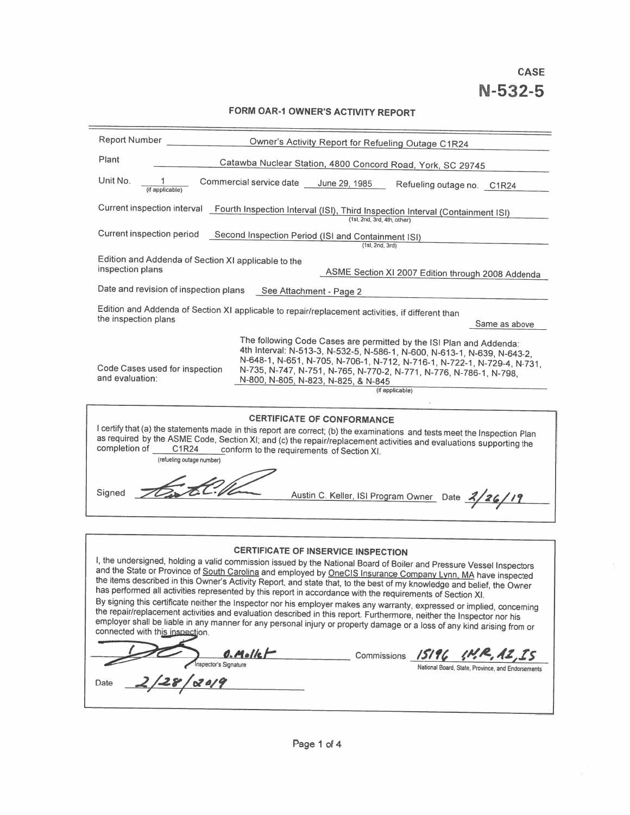**CASE** 

# **FORM OAR-1 OWNER'S ACTIVITY REPORT**

| Report Number<br>Owner's Activity Report for Refueling Outage C1R24                                                                                                                                                                                                                                                                                                                                                                                                                                                                                                                                                                                                                                                                                                                                                                                                                                                                                                                                                                                                            |
|--------------------------------------------------------------------------------------------------------------------------------------------------------------------------------------------------------------------------------------------------------------------------------------------------------------------------------------------------------------------------------------------------------------------------------------------------------------------------------------------------------------------------------------------------------------------------------------------------------------------------------------------------------------------------------------------------------------------------------------------------------------------------------------------------------------------------------------------------------------------------------------------------------------------------------------------------------------------------------------------------------------------------------------------------------------------------------|
| Plant<br>Catawba Nuclear Station, 4800 Concord Road, York, SC 29745                                                                                                                                                                                                                                                                                                                                                                                                                                                                                                                                                                                                                                                                                                                                                                                                                                                                                                                                                                                                            |
| Unit No.<br>Commercial service date<br>June 29, 1985<br>Refueling outage no. C1R24<br>(if applicable)                                                                                                                                                                                                                                                                                                                                                                                                                                                                                                                                                                                                                                                                                                                                                                                                                                                                                                                                                                          |
| Current inspection interval<br>Fourth Inspection Interval (ISI), Third Inspection Interval (Containment ISI)<br>(1st, 2nd, 3rd, 4th, other)                                                                                                                                                                                                                                                                                                                                                                                                                                                                                                                                                                                                                                                                                                                                                                                                                                                                                                                                    |
| Current inspection period<br>Second Inspection Period (ISI and Containment ISI)<br>(1st, 2nd, 3rd)                                                                                                                                                                                                                                                                                                                                                                                                                                                                                                                                                                                                                                                                                                                                                                                                                                                                                                                                                                             |
| Edition and Addenda of Section XI applicable to the<br>inspection plans<br>ASME Section XI 2007 Edition through 2008 Addenda                                                                                                                                                                                                                                                                                                                                                                                                                                                                                                                                                                                                                                                                                                                                                                                                                                                                                                                                                   |
| Date and revision of inspection plans<br>See Attachment - Page 2                                                                                                                                                                                                                                                                                                                                                                                                                                                                                                                                                                                                                                                                                                                                                                                                                                                                                                                                                                                                               |
| Edition and Addenda of Section XI applicable to repair/replacement activities, if different than<br>the inspection plans<br>Same as above                                                                                                                                                                                                                                                                                                                                                                                                                                                                                                                                                                                                                                                                                                                                                                                                                                                                                                                                      |
| The following Code Cases are permitted by the ISI Plan and Addenda:<br>4th Interval: N-513-3, N-532-5, N-586-1, N-600, N-613-1, N-639, N-643-2,<br>N-648-1, N-651, N-705, N-706-1, N-712, N-716-1, N-722-1, N-729-4, N-731,<br>Code Cases used for inspection<br>N-735, N-747, N-751, N-765, N-770-2, N-771, N-776, N-786-1, N-798,<br>and evaluation:<br>N-800, N-805, N-823, N-825, & N-845<br>(if applicable)                                                                                                                                                                                                                                                                                                                                                                                                                                                                                                                                                                                                                                                               |
| <b>CERTIFICATE OF CONFORMANCE</b><br>I certify that (a) the statements made in this report are correct; (b) the examinations and tests meet the Inspection Plan<br>as required by the ASME Code, Section XI; and (c) the repair/replacement activities and evaluations supporting the<br>completion of<br>C1R24<br>conform to the requirements of Section XI.<br>(refueling outage number)                                                                                                                                                                                                                                                                                                                                                                                                                                                                                                                                                                                                                                                                                     |
| Signed<br>Austin C. Keller, ISI Program Owner Date 2/26/19                                                                                                                                                                                                                                                                                                                                                                                                                                                                                                                                                                                                                                                                                                                                                                                                                                                                                                                                                                                                                     |
|                                                                                                                                                                                                                                                                                                                                                                                                                                                                                                                                                                                                                                                                                                                                                                                                                                                                                                                                                                                                                                                                                |
| <b>CERTIFICATE OF INSERVICE INSPECTION</b><br>I, the undersigned, holding a valid commission issued by the National Board of Boiler and Pressure Vessel Inspectors<br>and the State or Province of South Carolina and employed by OneCIS Insurance Company Lynn, MA have inspected<br>the items described in this Owner's Activity Report, and state that, to the best of my knowledge and belief, the Owner<br>has performed all activities represented by this report in accordance with the requirements of Section XI.<br>By signing this certificate neither the Inspector nor his employer makes any warranty, expressed or implied, concerning<br>the repair/replacement activities and evaluation described in this report. Furthermore, neither the Inspector nor his<br>employer shall be liable in any manner for any personal injury or property damage or a loss of any kind arising from or<br>connected with this inspection.<br>$0.$ Molle $\vdash$<br>Commissions /5/96<br>Inspector's Signature<br>National Board, State, Province, and Endorsements<br>Date |
|                                                                                                                                                                                                                                                                                                                                                                                                                                                                                                                                                                                                                                                                                                                                                                                                                                                                                                                                                                                                                                                                                |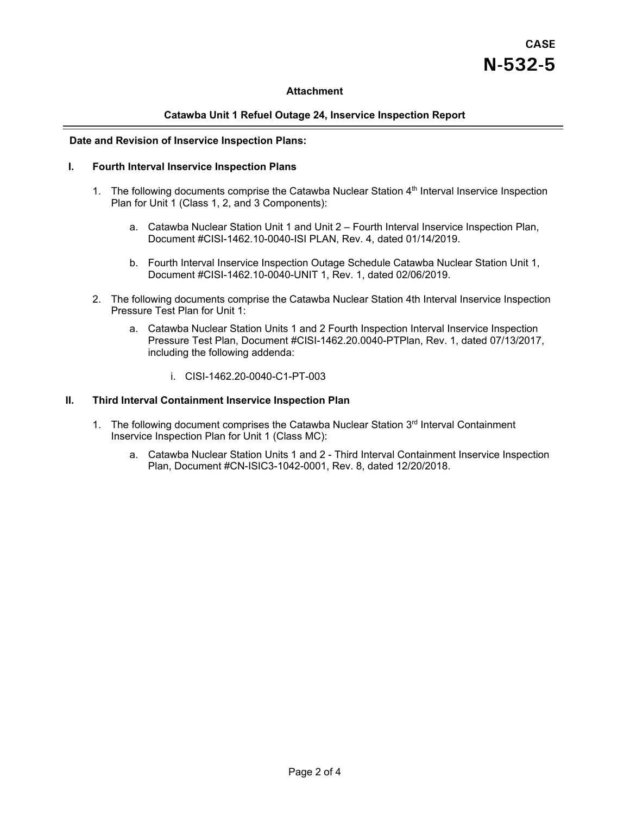# **CASE N-532-5**

#### **Attachment**

#### **Catawba Unit 1 Refuel Outage 24, Inservice Inspection Report**

#### **Date and Revision of Inservice Inspection Plans:**

#### **I. Fourth Interval Inservice Inspection Plans**

- 1. The following documents comprise the Catawba Nuclear Station 4<sup>th</sup> Interval Inservice Inspection Plan for Unit 1 (Class 1, 2, and 3 Components):
	- a. Catawba Nuclear Station Unit 1 and Unit 2 Fourth Interval Inservice Inspection Plan, Document #CISI-1462.10-0040-ISI PLAN, Rev. 4, dated 01/14/2019.
	- b. Fourth Interval Inservice Inspection Outage Schedule Catawba Nuclear Station Unit 1, Document #CISI-1462.10-0040-UNIT 1, Rev. 1, dated 02/06/2019.
- 2. The following documents comprise the Catawba Nuclear Station 4th Interval Inservice Inspection Pressure Test Plan for Unit 1:
	- a. Catawba Nuclear Station Units 1 and 2 Fourth Inspection Interval Inservice Inspection Pressure Test Plan, Document #CISI-1462.20.0040-PTPlan, Rev. 1, dated 07/13/2017, including the following addenda:
		- i. CISI-1462.20-0040-C1-PT-003

#### **II. Third Interval Containment Inservice Inspection Plan**

- 1. The following document comprises the Catawba Nuclear Station 3rd Interval Containment Inservice Inspection Plan for Unit 1 (Class MC):
	- a. Catawba Nuclear Station Units 1 and 2 Third Interval Containment Inservice Inspection Plan, Document #CN-ISIC3-1042-0001, Rev. 8, dated 12/20/2018.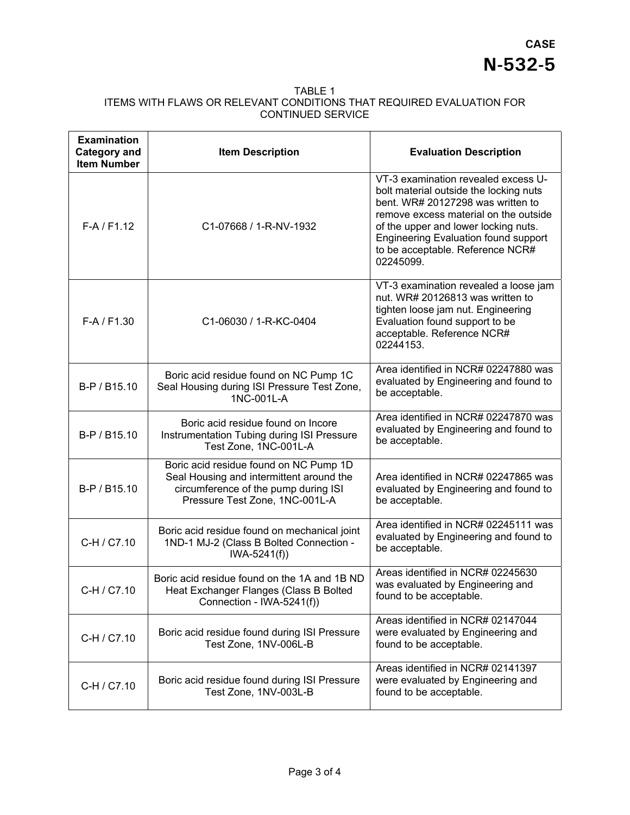#### TABLE 1 ITEMS WITH FLAWS OR RELEVANT CONDITIONS THAT REQUIRED EVALUATION FOR CONTINUED SERVICE

| <b>Examination</b><br><b>Category and</b><br><b>Item Number</b> | <b>Item Description</b>                                                                                                                                      | <b>Evaluation Description</b>                                                                                                                                                                                                                                                                       |
|-----------------------------------------------------------------|--------------------------------------------------------------------------------------------------------------------------------------------------------------|-----------------------------------------------------------------------------------------------------------------------------------------------------------------------------------------------------------------------------------------------------------------------------------------------------|
| $F-A / F1.12$                                                   | C1-07668 / 1-R-NV-1932                                                                                                                                       | VT-3 examination revealed excess U-<br>bolt material outside the locking nuts<br>bent. WR# 20127298 was written to<br>remove excess material on the outside<br>of the upper and lower locking nuts.<br><b>Engineering Evaluation found support</b><br>to be acceptable. Reference NCR#<br>02245099. |
| $F-A / F1.30$                                                   | C1-06030 / 1-R-KC-0404                                                                                                                                       | VT-3 examination revealed a loose jam<br>nut. WR# 20126813 was written to<br>tighten loose jam nut. Engineering<br>Evaluation found support to be<br>acceptable. Reference NCR#<br>02244153.                                                                                                        |
| B-P / B15.10                                                    | Boric acid residue found on NC Pump 1C<br>Seal Housing during ISI Pressure Test Zone,<br>1NC-001L-A                                                          | Area identified in NCR# 02247880 was<br>evaluated by Engineering and found to<br>be acceptable.                                                                                                                                                                                                     |
| B-P / B15.10                                                    | Boric acid residue found on Incore<br>Instrumentation Tubing during ISI Pressure<br>Test Zone, 1NC-001L-A                                                    | Area identified in NCR# 02247870 was<br>evaluated by Engineering and found to<br>be acceptable.                                                                                                                                                                                                     |
| B-P / B15.10                                                    | Boric acid residue found on NC Pump 1D<br>Seal Housing and intermittent around the<br>circumference of the pump during ISI<br>Pressure Test Zone, 1NC-001L-A | Area identified in NCR# 02247865 was<br>evaluated by Engineering and found to<br>be acceptable.                                                                                                                                                                                                     |
| C-H / C7.10                                                     | Boric acid residue found on mechanical joint<br>1ND-1 MJ-2 (Class B Bolted Connection -<br>$IWA-5241(f))$                                                    | Area identified in NCR# 02245111 was<br>evaluated by Engineering and found to<br>be acceptable.                                                                                                                                                                                                     |
| C-H / C7.10                                                     | Boric acid residue found on the 1A and 1B ND<br>Heat Exchanger Flanges (Class B Bolted<br>Connection - IWA-5241(f))                                          | Areas identified in NCR# 02245630<br>was evaluated by Engineering and<br>found to be acceptable.                                                                                                                                                                                                    |
| C-H / C7.10                                                     | Boric acid residue found during ISI Pressure<br>Test Zone, 1NV-006L-B                                                                                        | Areas identified in NCR# 02147044<br>were evaluated by Engineering and<br>found to be acceptable.                                                                                                                                                                                                   |
| C-H / C7.10                                                     | Boric acid residue found during ISI Pressure<br>Test Zone, 1NV-003L-B                                                                                        | Areas identified in NCR# 02141397<br>were evaluated by Engineering and<br>found to be acceptable.                                                                                                                                                                                                   |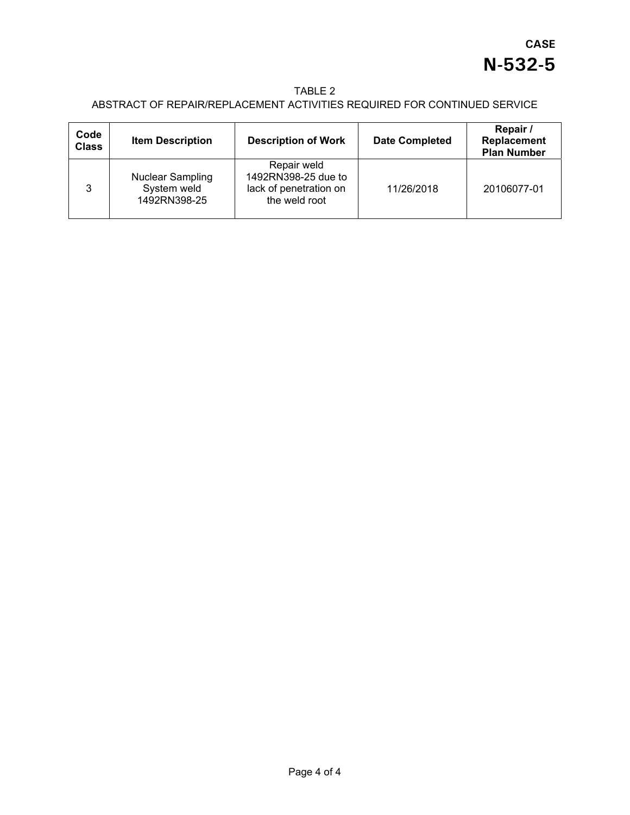### TABLE 2

## ABSTRACT OF REPAIR/REPLACEMENT ACTIVITIES REQUIRED FOR CONTINUED SERVICE

| Code<br><b>Class</b> | <b>Item Description</b>                                | <b>Description of Work</b>                                                    | <b>Date Completed</b> | Repair /<br>Replacement<br><b>Plan Number</b> |
|----------------------|--------------------------------------------------------|-------------------------------------------------------------------------------|-----------------------|-----------------------------------------------|
| 3                    | <b>Nuclear Sampling</b><br>System weld<br>1492RN398-25 | Repair weld<br>1492RN398-25 due to<br>lack of penetration on<br>the weld root | 11/26/2018            | 20106077-01                                   |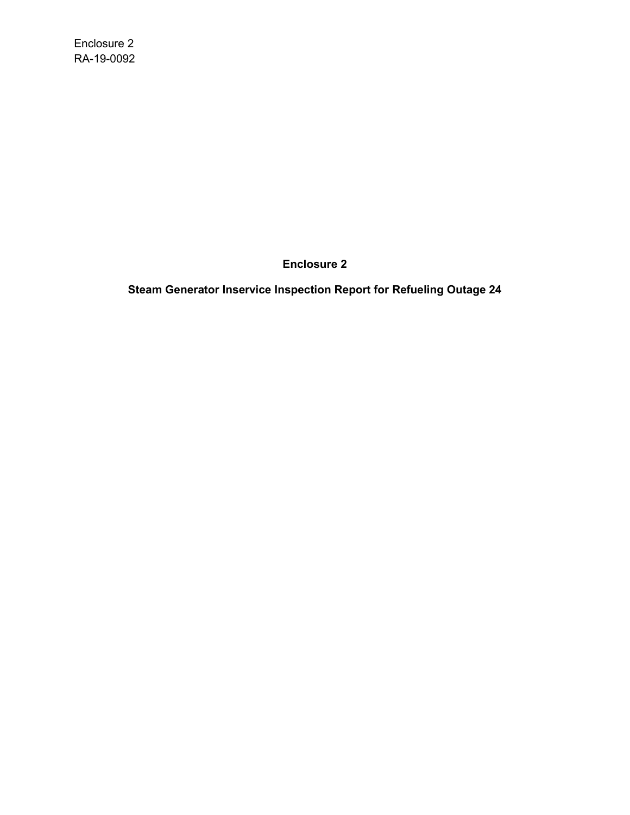Enclosure 2 RA-19-0092

**Enclosure 2**

**Steam Generator Inservice Inspection Report for Refueling Outage 24**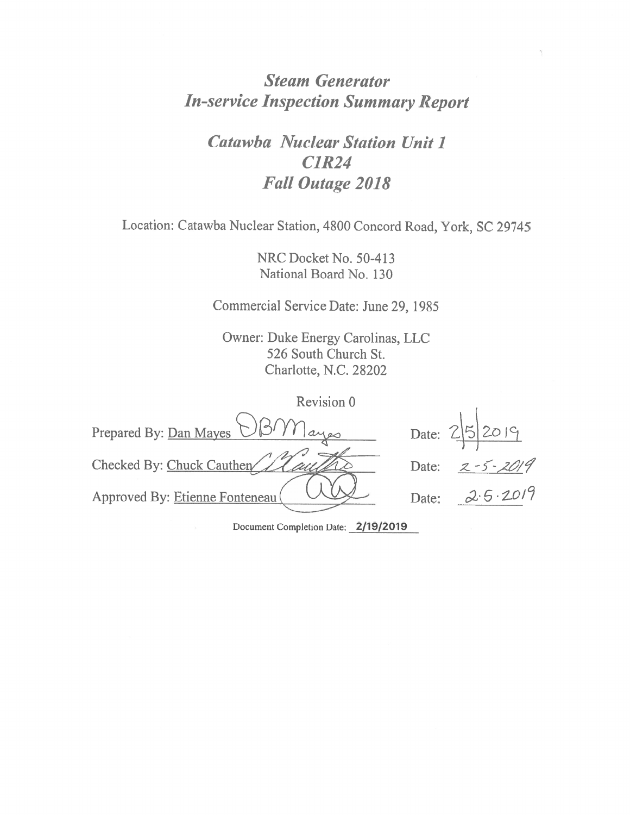# *Steam Generator In-service Inspection Summary Report*

*Catawba Nuclear Station Unit 1 CJR24 Fall Outage 2018* 

Location: Catawba Nuclear Station, 4800 Concord Road, York, SC 29745

NRC Docket No. 50-413 National Board No. 130

Commercial Service Date: June 29, 1985

Owner: Duke Energy Carolinas, LLC 526 South Church St. Charlotte, N.C. 28202

| Revision 0                      |                         |
|---------------------------------|-------------------------|
| Prepared By: Dan Mayes UBM ayes | Date: 25 2019           |
| Checked By: Chuck Cauther       | $2 - 5 - 2019$<br>Date: |
| Approved By: Etienne Fonteneau  | 2.5.2019<br>Date:       |

Document Completion Date: **2/19/2019**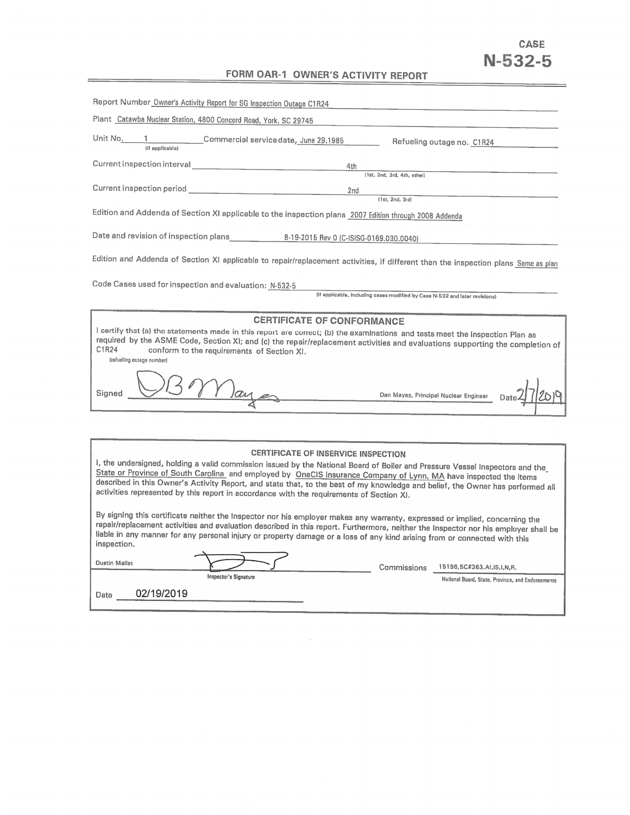# **CASE N-532-5**

## **FORM OAR-1 OWNER'S ACTIVITY REPORT**

| Report Number Owner's Activity Report for SG Inspection Outage C1R24                                                                                                                                                                                                                                                                                                                                                                                                                                                                                                                                                                                                                                                                                                                                                                                                                                                                     |
|------------------------------------------------------------------------------------------------------------------------------------------------------------------------------------------------------------------------------------------------------------------------------------------------------------------------------------------------------------------------------------------------------------------------------------------------------------------------------------------------------------------------------------------------------------------------------------------------------------------------------------------------------------------------------------------------------------------------------------------------------------------------------------------------------------------------------------------------------------------------------------------------------------------------------------------|
| Plant Catawba Nuclear Station, 4800 Concord Road, York, SC 29745                                                                                                                                                                                                                                                                                                                                                                                                                                                                                                                                                                                                                                                                                                                                                                                                                                                                         |
| Unit No. 1 Commercial service date, June 29.1985<br>Refueling outage no. C1R24                                                                                                                                                                                                                                                                                                                                                                                                                                                                                                                                                                                                                                                                                                                                                                                                                                                           |
| 4th                                                                                                                                                                                                                                                                                                                                                                                                                                                                                                                                                                                                                                                                                                                                                                                                                                                                                                                                      |
| (1st, 2nd, 3rd, 4th, ather)                                                                                                                                                                                                                                                                                                                                                                                                                                                                                                                                                                                                                                                                                                                                                                                                                                                                                                              |
| 2 <sub>nd</sub><br>(1st, 2nd, 3rd)                                                                                                                                                                                                                                                                                                                                                                                                                                                                                                                                                                                                                                                                                                                                                                                                                                                                                                       |
| Edition and Addenda of Section XI applicable to the inspection plans 2007 Edition through 2008 Addenda                                                                                                                                                                                                                                                                                                                                                                                                                                                                                                                                                                                                                                                                                                                                                                                                                                   |
|                                                                                                                                                                                                                                                                                                                                                                                                                                                                                                                                                                                                                                                                                                                                                                                                                                                                                                                                          |
| Edition and Addenda of Section XI applicable to repair/replacement activities, if different than the inspection plans Same as plan                                                                                                                                                                                                                                                                                                                                                                                                                                                                                                                                                                                                                                                                                                                                                                                                       |
| Code Cases used for inspection and evaluation: N-532-5                                                                                                                                                                                                                                                                                                                                                                                                                                                                                                                                                                                                                                                                                                                                                                                                                                                                                   |
| (if applicable, including cases modified by Case N-532 and later revisions)                                                                                                                                                                                                                                                                                                                                                                                                                                                                                                                                                                                                                                                                                                                                                                                                                                                              |
| <b>CERTIFICATE OF CONFORMANCE</b><br>I certify that (a) the statements made in this report are correct; (b) the examinations and tests meet the Inspection Plan as<br>required by the ASME Code, Section XI; and (c) the repair/replacement activities and evaluations supporting the completion of<br>C1R24<br>conform to the requirements of Section XI.<br>(refueling outage number)<br>I lay<br>Signed<br>Dan Mayes, Principal Nuclear Engineer                                                                                                                                                                                                                                                                                                                                                                                                                                                                                      |
| CERTIFICATE OF INSERVICE INSPECTION<br>I, the undersigned, holding a valid commission issued by the National Board of Boiler and Pressure Vessel Inspectors and the<br>State or Province of South Carolina and employed by OneCIS Insurance Company of Lynn, MA have inspected the items<br>described in this Owner's Activity Report, and state that, to the best of my knowledge and belief, the Owner has performed all<br>activities represented by this report in accordance with the requirements of Section XI.<br>By signing this certificate neither the Inspector nor his employer makes any warranty, expressed or implied, concerning the<br>repair/replacement activities and evaluation described in this report. Furthermore, neither the Inspector nor his employer shall be<br>liable in any manner for any personal injury or property damage or a loss of any kind arising from or connected with this<br>inspection. |
| <b>Dustin Mallet</b><br>Commissions<br>15196, SC#363, AI, IS, I, N, R,<br><b>Inspector's Signature</b><br>National Board, State, Province, and Endorsements                                                                                                                                                                                                                                                                                                                                                                                                                                                                                                                                                                                                                                                                                                                                                                              |

 $\alpha$ 

Date 02/19/2019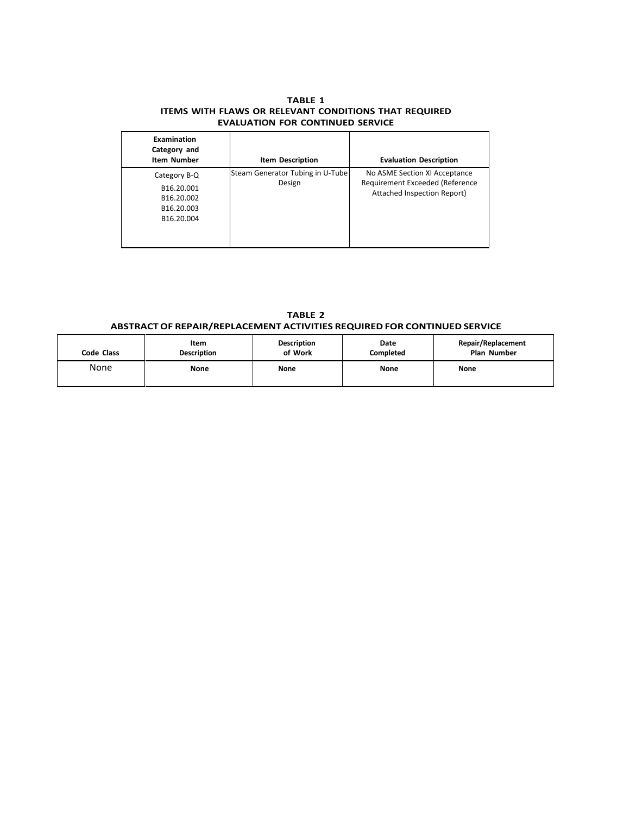#### **TABLE 1 ITEMS WITH FLAWS OR RELEVANT CONDITIONS THAT REQUIRED EVALUATION FOR CONTINUED SERVICE**

| Examination<br>Category and<br><b>Item Number</b>                                            | <b>Item Description</b>                    | <b>Evaluation Description</b>                                                                   |
|----------------------------------------------------------------------------------------------|--------------------------------------------|-------------------------------------------------------------------------------------------------|
| Category B-Q<br>B16.20.001<br>B <sub>16.20.002</sub><br>B <sub>16.20.003</sub><br>B16.20.004 | Steam Generator Tubing in U-Tube<br>Design | No ASME Section XI Acceptance<br>Requirement Exceeded (Reference<br>Attached Inspection Report) |

**TABLE 2 ABSTRACTOF REPAIR/REPLACEMENT ACTIVITIES REQUIRED FOR CONTINUED SERVICE**

| Code Class | Item               | <b>Description</b> | Date             | Repair/Replacement |
|------------|--------------------|--------------------|------------------|--------------------|
|            | <b>Description</b> | of Work            | <b>Completed</b> | <b>Plan Number</b> |
| None       | None               | <b>None</b>        | None             | <b>None</b>        |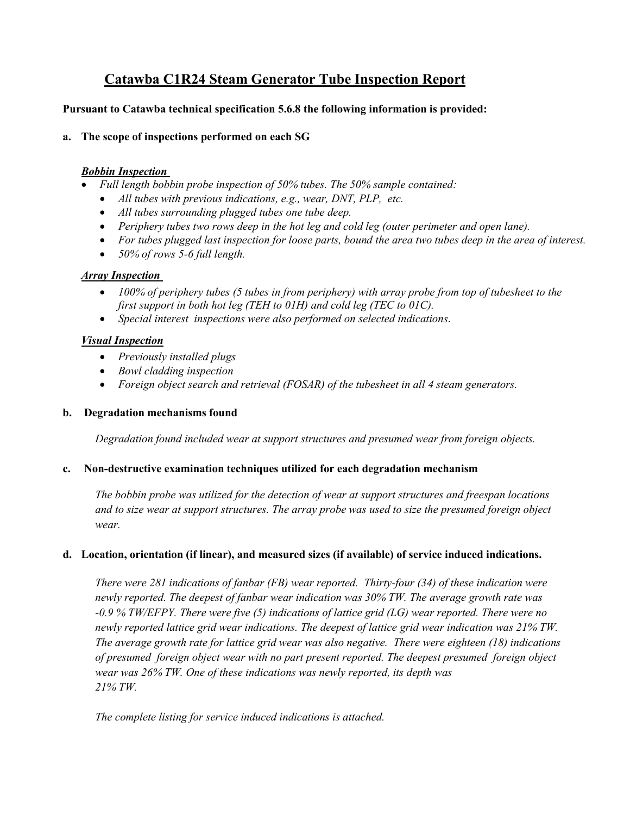# **Catawba C1R24 Steam Generator Tube Inspection Report**

### **Pursuant to Catawba technical specification 5.6.8 the following information is provided:**

### **a. The scope of inspections performed on each SG**

### *Bobbin Inspection*

- *Full length bobbin probe inspection of 50% tubes. The 50% sample contained:* 
	- *All tubes with previous indications, e.g., wear, DNT, PLP, etc.*
	- *All tubes surrounding plugged tubes one tube deep.*
	- *Periphery tubes two rows deep in the hot leg and cold leg (outer perimeter and open lane).*
	- *For tubes plugged last inspection for loose parts, bound the area two tubes deep in the area of interest.*
	- *50% of rows 5-6 full length.*

### *Array Inspection*

- *100% of periphery tubes (5 tubes in from periphery) with array probe from top of tubesheet to the first support in both hot leg (TEH to 01H) and cold leg (TEC to 01C).*
- *Special interest inspections were also performed on selected indications.*

### *Visual Inspection*

- *Previously installed plugs*
- *Bowl cladding inspection*
- *Foreign object search and retrieval (FOSAR) of the tubesheet in all 4 steam generators.*

### **b. Degradation mechanisms found**

*Degradation found included wear at support structures and presumed wear from foreign objects.* 

### **c. Non-destructive examination techniques utilized for each degradation mechanism**

*The bobbin probe was utilized for the detection of wear at support structures and freespan locations and to size wear at support structures. The array probe was used to size the presumed foreign object wear.* 

### **d. Location, orientation (if linear), and measured sizes (if available) of service induced indications.**

*There were 281 indications of fanbar (FB) wear reported. Thirty-four (34) of these indication were newly reported. The deepest of fanbar wear indication was 30% TW. The average growth rate was -0.9 % TW/EFPY. There were five (5) indications of lattice grid (LG) wear reported. There were no newly reported lattice grid wear indications. The deepest of lattice grid wear indication was 21% TW. The average growth rate for lattice grid wear was also negative. There were eighteen (18) indications of presumed foreign object wear with no part present reported. The deepest presumed foreign object wear was 26% TW. One of these indications was newly reported, its depth was 21% TW.*

*The complete listing for service induced indications is attached.*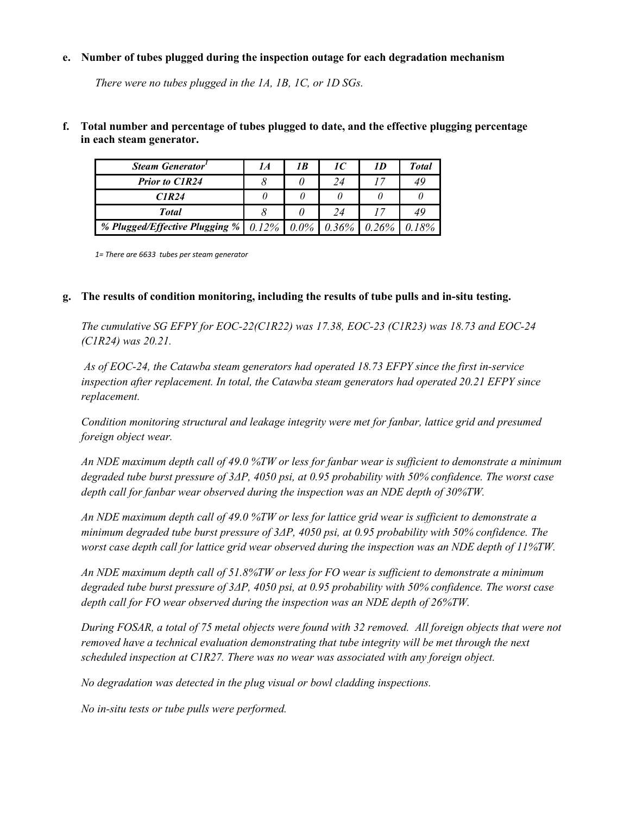#### **e. Number of tubes plugged during the inspection outage for each degradation mechanism**

*There were no tubes plugged in the 1A, 1B, 1C, or 1D SGs.* 

### **f. Total number and percentage of tubes plugged to date, and the effective plugging percentage in each steam generator.**

| Steam Generator'                                               | 1 A | 1 B | 1C | 1 D      | Total |
|----------------------------------------------------------------|-----|-----|----|----------|-------|
| <b>Prior to C1R24</b>                                          |     |     |    |          | 49    |
| CIR24                                                          |     |     |    |          |       |
| <b>Total</b>                                                   |     |     | 24 |          | 49    |
| % Plugged/Effective Plugging %   $0.12\%$   $0.0\%$   $0.36\%$ |     |     |    | $0.26\%$ | 0.18% |

*1= There are 6633 tubes per steam generator* 

#### **g. The results of condition monitoring, including the results of tube pulls and in-situ testing.**

*The cumulative SG EFPY for EOC-22(C1R22) was 17.38, EOC-23 (C1R23) was 18.73 and EOC-24 (C1R24) was 20.21.* 

 *As of EOC-24, the Catawba steam generators had operated 18.73 EFPY since the first in-service inspection after replacement. In total, the Catawba steam generators had operated 20.21 EFPY since replacement.*

*Condition monitoring structural and leakage integrity were met for fanbar, lattice grid and presumed foreign object wear.* 

*An NDE maximum depth call of 49.0 %TW or less for fanbar wear is sufficient to demonstrate a minimum degraded tube burst pressure of 3ΔP, 4050 psi, at 0.95 probability with 50% confidence. The worst case depth call for fanbar wear observed during the inspection was an NDE depth of 30%TW.*

*An NDE maximum depth call of 49.0 %TW or less for lattice grid wear is sufficient to demonstrate a minimum degraded tube burst pressure of 3ΔP, 4050 psi, at 0.95 probability with 50% confidence. The worst case depth call for lattice grid wear observed during the inspection was an NDE depth of 11%TW.*

*An NDE maximum depth call of 51.8%TW or less for FO wear is sufficient to demonstrate a minimum degraded tube burst pressure of 3ΔP, 4050 psi, at 0.95 probability with 50% confidence. The worst case depth call for FO wear observed during the inspection was an NDE depth of 26%TW.*

*During FOSAR, a total of 75 metal objects were found with 32 removed. All foreign objects that were not removed have a technical evaluation demonstrating that tube integrity will be met through the next scheduled inspection at C1R27. There was no wear was associated with any foreign object.* 

*No degradation was detected in the plug visual or bowl cladding inspections.* 

*No in-situ tests or tube pulls were performed.*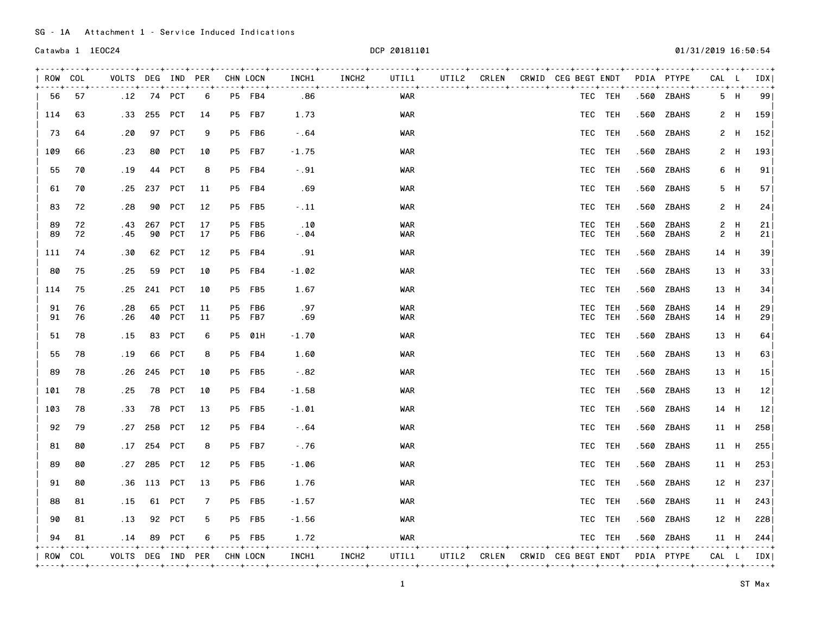SG - 1A Attachment 1 - Service Induced Indications

| ROW COL  |          | VOLTS DEG IND PER          |            |                          |                          | CHN LOCN                       | INCH1          | INCH <sub>2</sub> | UTIL1                    |  |                      | UTIL2 CRLEN CRWID CEG BEGT ENDT            |                    | --+----+------+   | PDIA PTYPE<br>. <b>.</b> .  | CAL L        |            | IDX  <br>$- - - +$ |
|----------|----------|----------------------------|------------|--------------------------|--------------------------|--------------------------------|----------------|-------------------|--------------------------|--|----------------------|--------------------------------------------|--------------------|-------------------|-----------------------------|--------------|------------|--------------------|
| 56       | 57       |                            | .12 74 PCT |                          | 6                        | P5 FB4                         | .86            |                   | WAR                      |  |                      |                                            | TEC TEH            |                   | .560 ZBAHS                  |              | 5 H        | 99                 |
| 114      | 63       | .33                        | 255        | <b>PCT</b>               | 14                       | P5 FB7                         | 1.73           |                   | <b>WAR</b>               |  |                      |                                            | TEC TEH            | .560              | ZBAHS                       |              |            | 2 H 159            |
| 73       | 64       | . 20                       |            | 97 PCT                   | 9                        | P5 FB6                         | $-0.64$        |                   | <b>WAR</b>               |  |                      |                                            | TEC TEH            | .560              | ZBAHS                       |              | 2 H        | 152                |
| 109      | 66       | . 23                       | 80         | <b>PCT</b>               | 10                       | P5 FB7                         | $-1.75$        |                   | WAR                      |  |                      |                                            | TEC TEH            | .560              | ZBAHS                       |              | 2 H        | 193                |
| 55       | 70       | . 19                       | 44         | <b>PCT</b>               | 8                        | P5 FB4                         | $-0.91$        |                   | WAR                      |  |                      |                                            | TEC TEH            | .560              | ZBAHS                       |              | 6 H        | 91                 |
| 61       | 70       | . 25                       | 237        | <b>PCT</b>               | 11                       | P5 FB4                         | .69            |                   | WAR                      |  |                      |                                            | TEC TEH            | .560              | ZBAHS                       |              | 5 H        | 57                 |
| 83       | 72       | . 28                       | 90         | <b>PCT</b>               | 12                       | P5 FB5                         | $-11$          |                   | <b>WAR</b>               |  |                      |                                            | TEC TEH            |                   | .560 ZBAHS                  |              | 2 H        | 24                 |
| 89<br>89 | 72<br>72 | . 43<br>.45                | 267<br>90  | <b>PCT</b><br><b>PCT</b> | 17<br>17                 | P5 FB5<br>P5 FB6               | .10<br>$-0.04$ |                   | <b>WAR</b><br><b>WAR</b> |  |                      |                                            | TEC TEH<br>TEC TEH | .560<br>.560      | <b>ZBAHS</b><br>ZBAHS       |              | 2 H<br>2 H | 21 <br>21          |
| 111      | 74       | .30                        | 62         | <b>PCT</b>               | 12                       | P5 FB4                         | .91            |                   | <b>WAR</b>               |  |                      |                                            | TEC TEH            | .560              | ZBAHS                       | 14 H         |            | 39                 |
| 80       | 75       | . 25                       | 59         | PCT                      | 10                       | P5 FB4                         | $-1.02$        |                   | WAR                      |  |                      |                                            | TEC TEH            | .560              | ZBAHS                       | 13 H         |            | 33                 |
| 114      | 75       | . 25                       | 241        | PCT                      | 10                       | <b>P5 FB5</b>                  | 1.67           |                   | WAR                      |  |                      |                                            | TEC TEH            |                   | .560 ZBAHS                  | 13 H         |            | 34                 |
| 91<br>91 | 76<br>76 | . 28<br>.26                | 65<br>40   | <b>PCT</b><br>PCT        | 11<br>11                 | P5 FB6<br>P5 FB7               | .97<br>.69     |                   | <b>WAR</b><br>WAR        |  |                      |                                            | TEC TEH<br>TEC TEH | .560<br>.560      | ZBAHS<br>ZBAHS              | 14 H<br>14 H |            | 29<br>29           |
| 51       | 78       | . 15                       | 83         | PCT                      | 6                        | P5 01H                         | $-1.70$        |                   | <b>WAR</b>               |  |                      |                                            | TEC TEH            |                   | .560 ZBAHS                  | 13 H         |            | 64                 |
| 55       | 78       | .19                        | 66         | <b>PCT</b>               | 8                        | P5 FB4                         | 1.60           |                   | WAR                      |  |                      |                                            | TEC TEH            | .560              | ZBAHS                       | 13 H         |            | 63                 |
| 89       | 78       | .26                        | 245        | <b>PCT</b>               | 10                       | P5 FB5                         | $-0.82$        |                   | <b>WAR</b>               |  |                      |                                            | TEC TEH            | .560              | ZBAHS                       | 13 H         |            | 15                 |
| 101      | 78       | . 25                       | 78         | PCT                      | 10                       | P5 FB4                         | $-1.58$        |                   | WAR                      |  |                      |                                            | TEC TEH            | .560              | ZBAHS                       | 13 H         |            | 12                 |
| 103      | 78       | .33                        | 78         | <b>PCT</b>               | 13                       | <b>P5 FB5</b>                  | $-1.01$        |                   | <b>WAR</b>               |  |                      |                                            | TEC TEH            |                   | .560 ZBAHS                  | 14 H         |            | 12                 |
| 92       | 79       | . 27                       | 258        | <b>PCT</b>               | 12                       | P5 FB4                         | $-0.64$        |                   | <b>WAR</b>               |  |                      |                                            | TEC TEH            | .560              | ZBAHS                       | 11 H         |            | 258                |
| 81       | 80       | .17                        | 254        | PCT                      | 8                        | <b>P5 FB7</b>                  | $-.76$         |                   | <b>WAR</b>               |  |                      |                                            | TEC TEH            |                   | .560 ZBAHS                  | 11 H         |            | 255                |
| 89       | 80       | . 27                       | 285        | PCT                      | 12                       | P5 FB5                         | $-1.06$        |                   | <b>WAR</b>               |  |                      |                                            | TEC TEH            |                   | .560 ZBAHS                  | 11 H         |            | 253                |
| 91       | 80       | .36                        | 113        | <b>PCT</b>               | 13                       | P5 FB6                         | 1.76           |                   | <b>WAR</b>               |  |                      |                                            | TEC TEH            | .560              | ZBAHS                       | 12 H         |            | 237                |
| 88       | 81       | . 15                       |            | 61 PCT                   | 7                        | <b>P5 FB5</b>                  | $-1.57$        |                   | <b>WAR</b>               |  |                      |                                            | TEC TEH            |                   | .560 ZBAHS                  | 11 H         |            | 243                |
| 90       | 81       | .13                        |            | 92 PCT                   | 5                        | P5 FB5                         | $-1.56$        |                   | <b>WAR</b>               |  |                      |                                            | TEC TEH            |                   | .560 ZBAHS                  |              | 12 H       | 228                |
| 94       | 81       | . 14                       |            | 89 PCT                   | 6<br>- - - - + - - - - + | <b>P5 FB5</b><br>$- - - + - -$ | 1.72           |                   | WAR                      |  | ------+-------+----+ |                                            | TEC TEH            | ----+----+------+ | .560 ZBAHS<br>$- - - - - +$ | . 4          |            | 11 H $244$         |
| ROW COL  |          | VOLTS DEG IND PER CHN LOCN |            |                          |                          |                                | INCH1          | INCH2             | UTIL1                    |  |                      | UTIL2 CRLEN CRWID CEG BEGT ENDT PDIA PTYPE |                    |                   |                             |              |            | CAL L IDX          |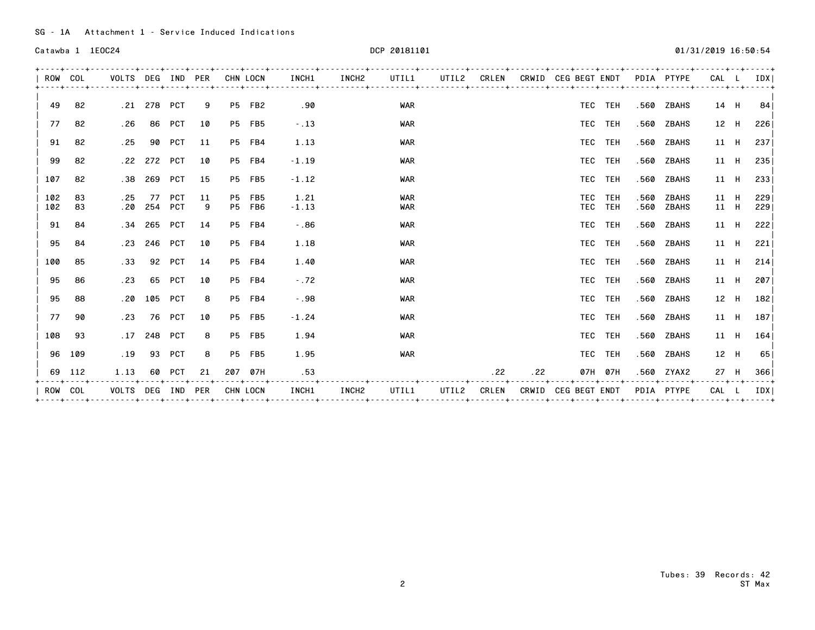Catawba 1 1EOC24 2019 16:50:54 DCP 20181101 2019 16:50:54 2019 16:50:54

| ROW COL    |          | VOLTS DEG IND PER |                   |        |          | CHN LOCN         | INCH1           | INCH2             | UTIL1                    | UTIL2 |       |                                     | CRLEN CRWID CEG BEGT ENDT |                    |              | PDIA PTYPE     | CAL          |      | IDX I      |
|------------|----------|-------------------|-------------------|--------|----------|------------------|-----------------|-------------------|--------------------------|-------|-------|-------------------------------------|---------------------------|--------------------|--------------|----------------|--------------|------|------------|
| 49         | 82       |                   | .21 278 PCT       |        | 9        | P5 FB2           | .90             |                   | <b>WAR</b>               |       |       |                                     |                           | TEC TEH            | .560         | ZBAHS          | 14 H         |      | 84         |
| 77         | 82       | . 26              |                   | 86 PCT | 10       | <b>P5 FB5</b>    | $-13$           |                   | <b>WAR</b>               |       |       |                                     |                           | TEC TEH            |              | .560 ZBAHS     | 12 H         |      | 2261       |
| 91         | 82       | . 25              |                   | 90 PCT | 11       | P5 FB4           | 1.13            |                   | <b>WAR</b>               |       |       |                                     |                           | TEC TEH            |              | .560 ZBAHS     | 11 H         |      | 2371       |
| 99         | 82       |                   | .22 272 PCT       |        | 10       | P5 FB4           | $-1.19$         |                   | <b>WAR</b>               |       |       |                                     |                           | TEC TEH            |              | .560 ZBAHS     | 11 H         |      | 235        |
| 107        | 82       |                   | .38 269 PCT       |        | 15       | <b>P5 FB5</b>    | $-1.12$         |                   | <b>WAR</b>               |       |       |                                     |                           | TEC TEH            |              | .560 ZBAHS     | 11 H         |      | 2331       |
| 102<br>102 | 83<br>83 | . 25              | 77<br>.20 254 PCT | PCT    | 11<br>-9 | P5 FB5<br>P5 FB6 | 1.21<br>$-1.13$ |                   | <b>WAR</b><br><b>WAR</b> |       |       |                                     |                           | TEC TEH<br>TEC TEH | .560<br>.560 | ZBAHS<br>ZBAHS | 11 H<br>11 H |      | 229<br>229 |
| 91         | 84       |                   | .34 265 PCT       |        | 14       | P5 FB4           | $-0.86$         |                   | <b>WAR</b>               |       |       |                                     |                           | TEC TEH            |              | .560 ZBAHS     |              | 11 H | 222        |
| 95         | 84       |                   | .23 246 PCT       |        | 10       | P5 FB4           | 1.18            |                   | <b>WAR</b>               |       |       |                                     |                           | TEC TEH            |              | .560 ZBAHS     |              | 11 H | 221        |
| 100        | 85       |                   | .33 92 PCT        |        | 14       | P5 FB4           | 1.40            |                   | <b>WAR</b>               |       |       |                                     |                           | TEC TEH            |              | .560 ZBAHS     |              | 11 H | 214        |
| 95         | 86       | .23               |                   | 65 PCT | 10       | P5 FB4           | $-.72$          |                   | <b>WAR</b>               |       |       |                                     |                           | TEC TEH            |              | .560 ZBAHS     |              | 11 H | 2071       |
| 95         | 88       |                   | .20 105 PCT       |        | 8        | P5 FB4           | $-0.98$         |                   | <b>WAR</b>               |       |       |                                     |                           | TEC TEH            |              | .560 ZBAHS     |              | 12 H | 182        |
| 77         | 90       | .23               |                   | 76 PCT | 10       | <b>P5 FB5</b>    | $-1.24$         |                   | <b>WAR</b>               |       |       |                                     |                           | TEC TEH            |              | .560 ZBAHS     | 11 H         |      | 1871       |
| 108        | - 93     | .17               | 248 PCT           |        | 8        | <b>P5 FB5</b>    | 1.94            |                   | <b>WAR</b>               |       |       |                                     |                           | TEC TEH            | .560         | ZBAHS          | 11 H         |      | 164        |
|            | 96 109   | .19               |                   | 93 PCT | 8        | <b>P5 FB5</b>    | 1.95            |                   | <b>WAR</b>               |       |       |                                     |                           | TEC TEH            |              | .560 ZBAHS     | 12 H         |      | 65         |
| 69         | 112      | 1.13              |                   | 60 PCT | 21       | 207 07H          | .53             |                   |                          |       | .22   | .22                                 |                           | 07H 07H            |              | .560 ZYAX2     | 27 H         |      | 366        |
| ROW        | COL      | VOLTS             | DEG               | IND    | PER      | CHN LOCN         | INCH1           | INCH <sub>2</sub> | UTIL1                    | UTIL2 | CRLEN | ------+------- <b>+</b> --<br>CRWID | <b>CEG BEGT ENDT</b>      |                    |              | PDIA PTYPE     | CAL L        |      | IDX I      |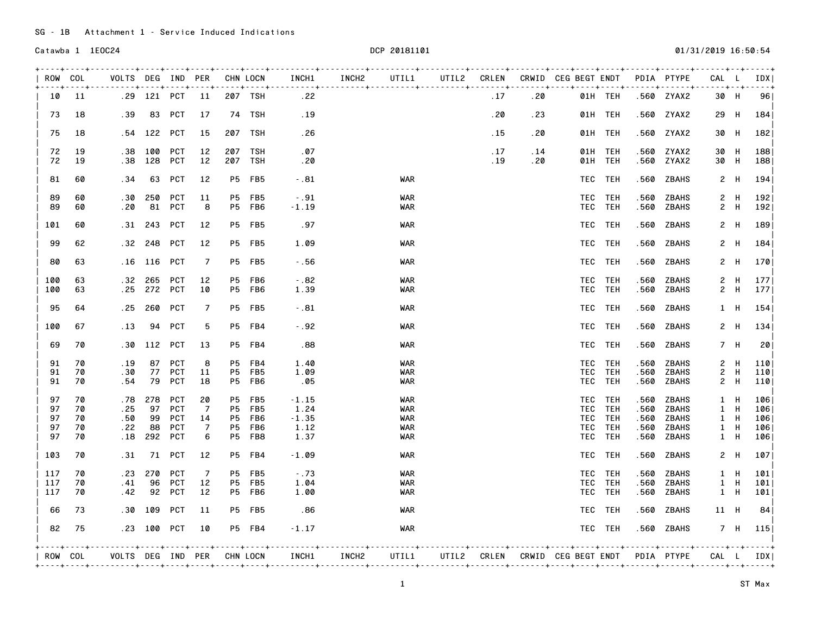SG - 1B Attachment 1 - Service Induced Indications

| $- - - +$<br>- 11<br>18<br>.39<br>18<br>19<br>.38<br>19<br>.38<br>60<br>. 34<br>60<br>.30<br>.20<br>60<br>60<br>. 31<br>62<br>. 32<br>63<br>. 16<br>63<br>.32<br>.25<br>63 | .54 122 PCT<br>100<br>128<br>63<br>250<br>81<br>243<br>248<br>116 PCT<br>265 | 83 PCT<br>PCT<br>PCT<br>PCT<br><b>PCT</b><br>PCT<br>PCT<br>PCT | 17<br>15<br>12<br>12<br>12<br>11<br>8<br>12<br>12<br>7                                                          | P5<br>P5                            | 207 TSH<br>74 TSH<br>207 TSH<br>207 TSH<br>207 TSH<br>FB5<br>FB5<br>P5 FB6<br><b>P5 FB5</b><br>P5 FB5 | .22<br>.19<br>. 26<br>. 07<br>.20<br>$-0.81$<br>$-.91$<br>$-1.19$<br>.97                                           |                                                                                          | <b>WAR</b><br><b>WAR</b><br>WAR<br><b>WAR</b> | .17<br>. 20<br>. 15<br>.17<br>. 19                            | . 4 .<br>.20<br>. 23<br>.20<br>.14<br>.20 | 01H TEH<br>01H TEH<br>01H TEH<br>01H TEH<br>01H TEH<br>TEC TEH<br>TEC TEH<br>TEC TEH | --+----+------ <b>+</b><br>.560<br>.560<br>.560<br>.560                                                                                                      | $- - - - - - +$<br>.560 ZYAX2<br>.560 ZYAX2<br>.560 ZYAX2<br>.560 ZYAX2<br>ZYAX2<br>ZBAHS<br>ZBAHS<br>ZBAHS | $\overline{c}$<br>$\mathbf{2}$                                                                               | 30 H<br>29 H<br>30 H<br>30 H<br>30 H<br>2 H<br>- H<br>H<br>- H | $- - - 4$<br>96<br>184<br>182<br>188<br>188<br>194<br>192<br>192 <br>189                                     |
|----------------------------------------------------------------------------------------------------------------------------------------------------------------------------|------------------------------------------------------------------------------|----------------------------------------------------------------|-----------------------------------------------------------------------------------------------------------------|-------------------------------------|-------------------------------------------------------------------------------------------------------|--------------------------------------------------------------------------------------------------------------------|------------------------------------------------------------------------------------------|-----------------------------------------------|---------------------------------------------------------------|-------------------------------------------|--------------------------------------------------------------------------------------|--------------------------------------------------------------------------------------------------------------------------------------------------------------|-------------------------------------------------------------------------------------------------------------|--------------------------------------------------------------------------------------------------------------|----------------------------------------------------------------|--------------------------------------------------------------------------------------------------------------|
|                                                                                                                                                                            |                                                                              |                                                                |                                                                                                                 |                                     |                                                                                                       |                                                                                                                    |                                                                                          |                                               |                                                               |                                           |                                                                                      |                                                                                                                                                              |                                                                                                             |                                                                                                              |                                                                |                                                                                                              |
|                                                                                                                                                                            |                                                                              |                                                                |                                                                                                                 |                                     |                                                                                                       |                                                                                                                    |                                                                                          |                                               |                                                               |                                           |                                                                                      |                                                                                                                                                              |                                                                                                             |                                                                                                              |                                                                |                                                                                                              |
|                                                                                                                                                                            |                                                                              |                                                                |                                                                                                                 |                                     |                                                                                                       |                                                                                                                    |                                                                                          |                                               |                                                               |                                           |                                                                                      |                                                                                                                                                              |                                                                                                             |                                                                                                              |                                                                |                                                                                                              |
|                                                                                                                                                                            |                                                                              |                                                                |                                                                                                                 |                                     |                                                                                                       |                                                                                                                    |                                                                                          |                                               |                                                               |                                           |                                                                                      |                                                                                                                                                              |                                                                                                             |                                                                                                              |                                                                |                                                                                                              |
|                                                                                                                                                                            |                                                                              |                                                                |                                                                                                                 |                                     |                                                                                                       |                                                                                                                    |                                                                                          |                                               |                                                               |                                           |                                                                                      |                                                                                                                                                              |                                                                                                             |                                                                                                              |                                                                |                                                                                                              |
|                                                                                                                                                                            |                                                                              |                                                                |                                                                                                                 |                                     |                                                                                                       |                                                                                                                    |                                                                                          |                                               |                                                               |                                           |                                                                                      |                                                                                                                                                              |                                                                                                             |                                                                                                              |                                                                |                                                                                                              |
|                                                                                                                                                                            |                                                                              |                                                                |                                                                                                                 |                                     |                                                                                                       |                                                                                                                    |                                                                                          |                                               |                                                               |                                           | TEC TEH                                                                              | .560                                                                                                                                                         | ZBAHS                                                                                                       | $\mathbf{2}$                                                                                                 |                                                                |                                                                                                              |
|                                                                                                                                                                            |                                                                              |                                                                |                                                                                                                 |                                     |                                                                                                       | 1.09                                                                                                               |                                                                                          | <b>WAR</b>                                    |                                                               |                                           | TEC TEH                                                                              | .560                                                                                                                                                         | ZBAHS                                                                                                       | $\mathbf{2}$                                                                                                 | - H                                                            | 184                                                                                                          |
|                                                                                                                                                                            |                                                                              |                                                                |                                                                                                                 |                                     | P5 FB5                                                                                                | $-.56$                                                                                                             |                                                                                          | <b>WAR</b>                                    |                                                               |                                           | TEC TEH                                                                              | .560                                                                                                                                                         | ZBAHS                                                                                                       |                                                                                                              | 2 H                                                            | 170                                                                                                          |
|                                                                                                                                                                            | 272 PCT                                                                      | <b>PCT</b>                                                     | 12<br>10                                                                                                        | P5                                  | FB6<br>P5 FB6                                                                                         | $-0.82$<br>1.39                                                                                                    |                                                                                          | <b>WAR</b><br><b>WAR</b>                      |                                                               |                                           | TEC TEH<br>TEC TEH                                                                   | .560<br>.560                                                                                                                                                 | <b>ZBAHS</b><br>ZBAHS                                                                                       | $\mathbf{2}$                                                                                                 | H<br>2 H                                                       | 177<br>177                                                                                                   |
| 64<br>. 25                                                                                                                                                                 | 260                                                                          | PCT                                                            | 7                                                                                                               |                                     | P5 FB5                                                                                                | $-0.81$                                                                                                            |                                                                                          | <b>WAR</b>                                    |                                                               |                                           | TEC TEH                                                                              | .560                                                                                                                                                         | ZBAHS                                                                                                       |                                                                                                              | $1$ H                                                          | 154                                                                                                          |
| 67<br>.13                                                                                                                                                                  | 94                                                                           |                                                                | 5                                                                                                               |                                     |                                                                                                       | $-0.92$                                                                                                            |                                                                                          | WAR                                           |                                                               |                                           |                                                                                      | .560                                                                                                                                                         | ZBAHS                                                                                                       |                                                                                                              |                                                                | 134                                                                                                          |
| 70<br>.30                                                                                                                                                                  |                                                                              |                                                                | 13                                                                                                              |                                     |                                                                                                       | .88                                                                                                                |                                                                                          | <b>WAR</b>                                    |                                                               |                                           |                                                                                      | .560                                                                                                                                                         | ZBAHS                                                                                                       |                                                                                                              |                                                                | 20                                                                                                           |
| 70<br>. 19<br>70<br>.30<br>70<br>. 54                                                                                                                                      | 79                                                                           | PCT                                                            | 8<br>11<br>18                                                                                                   | P5<br>P5<br><b>P5</b>               | FB4<br>FB5<br>FB6                                                                                     | 1.40<br>1.09<br>.05                                                                                                |                                                                                          | <b>WAR</b><br><b>WAR</b><br><b>WAR</b>        |                                                               |                                           | TEH                                                                                  | .560<br>.560<br>.560                                                                                                                                         | ZBAHS<br>ZBAHS<br>ZBAHS                                                                                     | $\mathbf{2}^{\circ}$                                                                                         | H                                                              | 110<br>110<br>110                                                                                            |
| 70<br>. 78<br>.25<br>70<br>70<br>.50<br>70<br>.22                                                                                                                          | 278<br>97<br>99                                                              | PCT<br>PCT<br>PCT                                              | 20<br>7<br>14<br>7                                                                                              | P5<br><b>P5</b><br><b>P5</b><br>P5. | FB5<br>FB5<br>FB6<br>FB6                                                                              | $-1.15$<br>1.24<br>$-1.35$<br>1.12                                                                                 |                                                                                          | WAR<br><b>WAR</b><br><b>WAR</b><br>WAR        |                                                               |                                           | <b>TEH</b><br>TEH<br>TEH                                                             | .560<br>.560<br>.560<br>.560                                                                                                                                 | ZBAHS<br><b>ZBAHS</b><br><b>ZBAHS</b><br>ZBAHS                                                              | $\mathbf{1}$                                                                                                 | H                                                              | 1061<br>106<br>106<br>106                                                                                    |
|                                                                                                                                                                            |                                                                              |                                                                |                                                                                                                 |                                     |                                                                                                       |                                                                                                                    |                                                                                          |                                               |                                                               |                                           |                                                                                      |                                                                                                                                                              |                                                                                                             |                                                                                                              |                                                                | 106                                                                                                          |
|                                                                                                                                                                            |                                                                              |                                                                |                                                                                                                 |                                     |                                                                                                       |                                                                                                                    |                                                                                          |                                               |                                                               |                                           |                                                                                      |                                                                                                                                                              |                                                                                                             |                                                                                                              |                                                                | 107                                                                                                          |
| 70<br>70                                                                                                                                                                   |                                                                              |                                                                |                                                                                                                 |                                     |                                                                                                       |                                                                                                                    |                                                                                          |                                               |                                                               |                                           |                                                                                      |                                                                                                                                                              |                                                                                                             |                                                                                                              |                                                                | 101<br>101                                                                                                   |
| 70<br>. 42                                                                                                                                                                 |                                                                              |                                                                | 12                                                                                                              |                                     |                                                                                                       | 1.00                                                                                                               |                                                                                          | <b>WAR</b>                                    |                                                               |                                           |                                                                                      |                                                                                                                                                              | ZBAHS                                                                                                       |                                                                                                              |                                                                | 101                                                                                                          |
| 73                                                                                                                                                                         |                                                                              |                                                                |                                                                                                                 |                                     |                                                                                                       |                                                                                                                    |                                                                                          |                                               |                                                               |                                           |                                                                                      |                                                                                                                                                              |                                                                                                             |                                                                                                              |                                                                |                                                                                                              |
| -75                                                                                                                                                                        |                                                                              |                                                                | 10                                                                                                              |                                     |                                                                                                       | $-1.17$                                                                                                            |                                                                                          | <b>WAR</b>                                    |                                                               |                                           |                                                                                      |                                                                                                                                                              |                                                                                                             |                                                                                                              |                                                                | 115                                                                                                          |
| 70<br>70<br>ROW COL                                                                                                                                                        | . 18<br>.31<br>. 23<br>. 41<br>.30                                           | 270<br>96<br>109                                               | PCT<br>112 PCT<br>87 PCT<br>77 PCT<br>88 PCT<br>292 PCT<br>71 PCT<br>PCT<br>PCT<br>92 PCT<br>PCT<br>.23 100 PCT | 6<br>12<br>7<br>12<br>11            | P5<br>P5<br>P5                                                                                        | P5 FB4<br>P5 FB4<br>FB8<br><b>P5 FB4</b><br>FB5<br>FB5<br>P5 FB6<br>P5 FB5<br>P5 FB4<br>VOLTS DEG IND PER CHN LOCN | 1.37<br>$-1.09$<br>$-.73$<br>1.04<br>.86<br>---+----+----+-----+----+---+------<br>INCH1 | INCH2                                         | <b>WAR</b><br>WAR<br>WAR<br><b>WAR</b><br><b>WAR</b><br>UTIL1 |                                           |                                                                                      | TEC TEH<br>TEC TEH<br>TEC TEH<br>TEC TEH<br>TEC<br>TEC<br>TEC<br>TEC<br>TEC TEH<br>TEC TEH<br>TEC TEH<br>TEC TEH<br>TEC TEH<br>TEC TEH<br>TEC TEH<br>TEC TEH | .560<br>.560<br>.560<br>.560<br>.560<br>.560                                                                | ZBAHS<br>ZBAHS<br>ZBAHS<br><b>ZBAHS</b><br>ZBAHS<br>.560 ZBAHS<br>UTIL2 CRLEN CRWID CEG BEGT ENDT PDIA PTYPE | -----+                                                         | 2 H<br>7 H<br>2 H<br>2 H<br>1 H<br>1 H<br>1 H<br>1 H<br>2 H<br>1 H<br>1 H<br>1 H<br>11 H<br>7 H<br>CAL L IDX |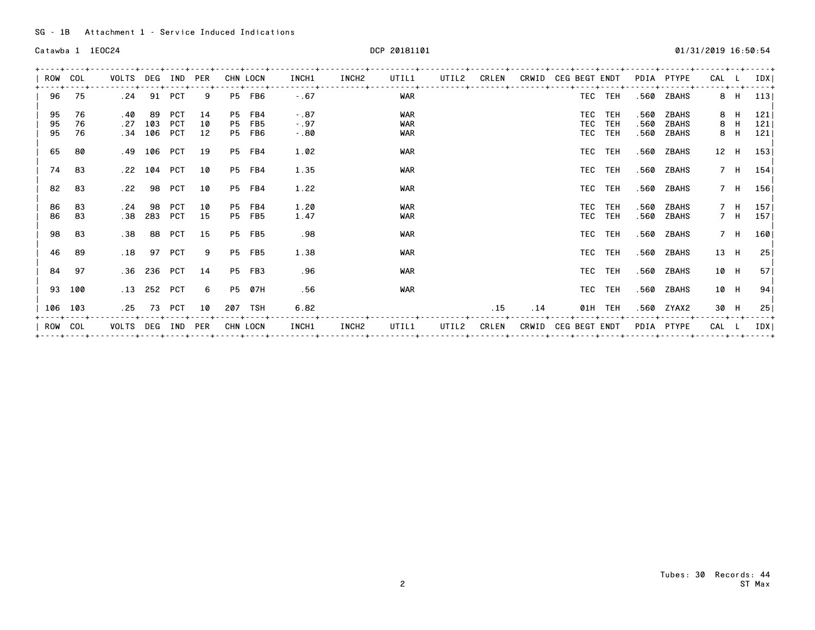| ROW     | COL  | VOLTS            | DEG         | IND        | <b>PER</b> |           | CHN LOCN | INCH1   | INCH2 | UTIL1      | UTIL2 | CRLEN | CRWID | <b>CEG BEGT ENDT</b> |         |      | PDIA PTYPE | CAL   |      | IDX                |
|---------|------|------------------|-------------|------------|------------|-----------|----------|---------|-------|------------|-------|-------|-------|----------------------|---------|------|------------|-------|------|--------------------|
| 96      | 75   | . 24             |             | 91 PCT     | 9          |           | P5 FB6   | $-.67$  |       | <b>WAR</b> |       |       |       |                      | TEC TEH |      | .560 ZBAHS |       | 8 H  | - - - - - +<br>113 |
| 95      | 76   | . 40             | -89         | <b>PCT</b> | 14         |           | P5 FB4   | $-0.87$ |       | <b>WAR</b> |       |       |       |                      | TEC TEH | .560 | ZBAHS      |       | 8 H  | 121                |
| 95      | 76   | .27              | 103         | PCT        | 10         | <b>P5</b> | FB5      | $-.97$  |       | <b>WAR</b> |       |       |       | TEC                  | TEH     | .560 | ZBAHS      |       | 8 H  | 121                |
| 95      | 76   |                  | $.34$ 106   | PCT        | 12         |           | P5 FB6   | $-0.80$ |       | <b>WAR</b> |       |       |       |                      | TEC TEH | .560 | ZBAHS      |       | 8 H  | 121                |
| 65      | 80   |                  | .49 106 PCT |            | 19         |           | P5 FB4   | 1.02    |       | <b>WAR</b> |       |       |       |                      | TEC TEH |      | .560 ZBAHS |       | 12 H | 153                |
| 74      | 83   |                  | $.22$ 104   | PCT        | 10         |           | P5 FB4   | 1.35    |       | <b>WAR</b> |       |       |       |                      | TEC TEH |      | .560 ZBAHS |       | 7 H  | 154                |
| 82      | - 83 | .22              | 98          | PCT        | 10         |           | P5 FB4   | 1.22    |       | <b>WAR</b> |       |       |       |                      | TEC TEH |      | .560 ZBAHS |       |      | 7 H 156            |
| 86      | 83   | . 24             | 98          | PCT        | 10         |           | P5 FB4   | 1.20    |       | <b>WAR</b> |       |       |       |                      | TEC TEH | .560 | ZBAHS      |       | 7 H  | 157 <sub>1</sub>   |
| 86      | 83   | .38 <sub>1</sub> | 283         | PCT        | 15         |           | P5 FB5   | 1.47    |       | <b>WAR</b> |       |       |       |                      | TEC TEH |      | .560 ZBAHS |       | 7 H  | 157                |
| 98      | - 83 | .38              |             | 88 PCT     | 15         |           | P5 FB5   | .98     |       | <b>WAR</b> |       |       |       |                      | TEC TEH |      | .560 ZBAHS |       | 7 H  | 160                |
| 46      | 89   | .18              | 97 PCT      |            | 9          |           | P5 FB5   | 1.38    |       | <b>WAR</b> |       |       |       |                      | TEC TEH |      | .560 ZBAHS |       | 13 H | 25                 |
| 84      | 97   |                  | .36 236 PCT |            | 14         |           | P5 FB3   | .96     |       | <b>WAR</b> |       |       |       |                      | TEC TEH |      | .560 ZBAHS | 10 H  |      | 57 <sub>1</sub>    |
| 93 100  |      |                  | .13 252 PCT |            | 6          |           | P5 07H   | .56     |       | <b>WAR</b> |       |       |       |                      | TEC TEH |      | .560 ZBAHS | 10 H  |      | 94                 |
| 106 103 |      | . 25             |             | 73 PCT     | 10         |           | 207 TSH  | 6.82    |       |            |       | .15   | .14   |                      | 01H TEH |      | .560 ZYAX2 | 30 H  |      | 25                 |
| ROW     | COL  | VOLTS DEG IND    |             |            | PER        |           | CHN LOCN | INCH1   | INCH2 | UTIL1      | UTIL2 | CRLEN | CRWID | CEG BEGT ENDT        |         |      | PDIA PTYPE | CAL L |      | IDX                |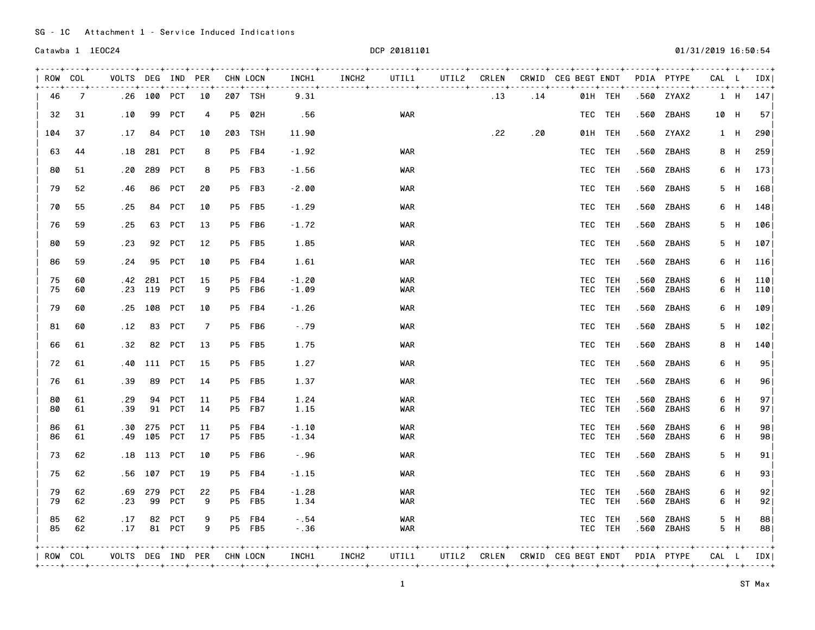| ROW COL  |                | VOLTS DEG IND PER<br>$-++++++++++++$ |                |                  | ---+----+----+-----+ |           | CHN LOCN                | INCH1              | INCH2 | UTIL1                    |     |     | UTIL2 CRLEN CRWID CEG BEGT ENDT PDIA PTYPE |                    |              |                | CAL L |            | IDX  <br>$- - - - 4$   |
|----------|----------------|--------------------------------------|----------------|------------------|----------------------|-----------|-------------------------|--------------------|-------|--------------------------|-----|-----|--------------------------------------------|--------------------|--------------|----------------|-------|------------|------------------------|
| 46       | $\overline{7}$ |                                      | .26 100 PCT 10 |                  |                      |           | 207 TSH                 | 9.31               |       |                          | .13 | .14 |                                            | 01H TEH            |              | .560 ZYAX2     |       |            | 1 H 147                |
| 32       | 31             | .10                                  |                | 99 PCT           | 4                    |           | P5 02H                  | .56                |       | WAR                      |     |     |                                            | TEC TEH            | .560         | ZBAHS          | 10 H  |            | 57 <sub>1</sub>        |
| 104      | 37             | . 17                                 |                | 84 PCT           | 10                   |           | 203 TSH                 | 11.90              |       |                          | .22 | .20 |                                            | 01H TEH            |              | .560 ZYAX2     |       | 1 H        | 290                    |
| 63       | 44             | . 18                                 |                | 281 PCT          | 8                    |           | P5 FB4                  | $-1.92$            |       | <b>WAR</b>               |     |     |                                            | TEC TEH            |              | .560 ZBAHS     |       | 8 H        | 259                    |
| 80       | 51             | . 20                                 | 289            | PCT              | 8                    |           | P5 FB3                  | $-1.56$            |       | WAR                      |     |     |                                            | TEC TEH            | .560         | ZBAHS          | 6     | H          | 173                    |
| 79       | 52             | . 46                                 | 86             | PCT              | 20                   |           | P5 FB3                  | $-2.00$            |       | <b>WAR</b>               |     |     |                                            | TEC TEH            |              | .560 ZBAHS     |       | 5 H        | 168                    |
| 70       | 55             | . 25                                 |                | 84 PCT           | 10                   |           | P5 FB5                  | $-1.29$            |       | WAR                      |     |     |                                            | TEC TEH            |              | .560 ZBAHS     |       | 6 H        | 148                    |
| 76       | 59             | . 25                                 |                | 63 PCT           | 13                   |           | P5 FB6                  | $-1.72$            |       | WAR                      |     |     |                                            | TEC TEH            | .560         | ZBAHS          | 5     | H          | 106                    |
| 80       | 59             | . 23                                 |                | 92 PCT           | 12                   |           | <b>P5 FB5</b>           | 1.85               |       | WAR                      |     |     |                                            | TEC TEH            | .560         | ZBAHS          |       | 5 H        | 107                    |
| 86       | 59             | . 24                                 |                | 95 PCT           | 10                   |           | P5 FB4                  | 1.61               |       | <b>WAR</b>               |     |     |                                            | TEC TEH            | .560         | ZBAHS          |       | 6 H        | 116                    |
| 75<br>75 | 60<br>60       | . 42<br>. 23                         | 281<br>119 PCT | <b>PCT</b>       | 15<br>9              | P5        | FB4<br>P5 FB6           | $-1.20$<br>$-1.09$ |       | <b>WAR</b><br>WAR        |     |     |                                            | TEC TEH<br>TEC TEH | .560<br>.560 | ZBAHS<br>ZBAHS | 6     | H<br>6 H   | 110<br>110             |
| 79       | 60             | .25                                  |                | 108 PCT          | 10                   |           | P5 FB4                  | $-1.26$            |       | <b>WAR</b>               |     |     |                                            | TEC TEH            | .560         | ZBAHS          | 6     | - H        | 109                    |
| 81       | 60             | .12                                  |                | 83 PCT           | 7                    |           | P5 FB6                  | $-.79$             |       | WAR                      |     |     |                                            | TEC TEH            | .560         | ZBAHS          |       | 5 H        | 102                    |
| 66       | 61             | .32                                  |                | 82 PCT           | 13                   |           | <b>P5 FB5</b>           | 1.75               |       | WAR                      |     |     |                                            | TEC TEH            | .560         | ZBAHS          |       | 8 H        | 140                    |
| 72       | 61             | . 40                                 |                | 111 PCT          | 15                   |           | <b>P5 FB5</b>           | 1.27               |       | <b>WAR</b>               |     |     |                                            | TEC TEH            | .560         | ZBAHS          |       | 6 H        | 95                     |
| 76       | 61             | .39                                  | 89             | PCT              | 14                   |           | <b>P5 FB5</b>           | 1.37               |       | <b>WAR</b>               |     |     |                                            | TEC TEH            | .560         | ZBAHS          |       | 6 H        | 96                     |
| 80       | 61             | . 29                                 | 94             | PCT              | 11                   | <b>P5</b> | FB4                     | 1.24               |       | <b>WAR</b>               |     |     |                                            | TEC TEH            | .560         | ZBAHS          |       | 6 H        | 97                     |
| 80       | 61             | .39                                  |                | 91 PCT           | 14                   |           | P5 FB7                  | 1.15               |       | <b>WAR</b>               |     |     |                                            | TEC TEH            | .560         | ZBAHS          |       | 6 H        | 97 <sub>1</sub>        |
| 86<br>86 | 61<br>61       | .30<br>. 49                          | 275            | PCT<br>105 PCT   | 11<br>17             |           | P5 FB4<br>P5 FB5        | $-1.10$<br>$-1.34$ |       | WAR<br><b>WAR</b>        |     |     |                                            | TEC TEH<br>TEC TEH | .560<br>.560 | ZBAHS<br>ZBAHS |       | 6 H<br>6 H | 98<br>98               |
| 73       | 62             | . 18                                 | 113            | PCT              | 10                   |           | P5 FB6                  | $-0.96$            |       | WAR                      |     |     |                                            | TEC TEH            | .560         | ZBAHS          | 5     | - H        | 91                     |
| 75       | 62             | . 56                                 | 107 PCT        |                  | 19                   |           | P5 FB4                  | $-1.15$            |       | WAR                      |     |     |                                            | TEC TEH            | .560         | ZBAHS          |       | 6 H        | 93                     |
| 79<br>79 | 62<br>62       | . 69<br>.23                          | 279<br>99      | PCT<br>PCT       | 22<br>9              |           | P5 FB4<br><b>P5 FB5</b> | $-1.28$<br>1.34    |       | <b>WAR</b><br><b>WAR</b> |     |     |                                            | TEC TEH<br>TEC TEH | .560<br>.560 | ZBAHS<br>ZBAHS |       | 6 H<br>6 H | 92<br>92               |
| 85<br>85 | 62<br>62       | .17<br>.17                           |                | 82 PCT<br>81 PCT | 9<br>9               |           | P5 FB4<br><b>P5 FB5</b> | $-0.54$<br>$-.36$  |       | <b>WAR</b><br><b>WAR</b> |     |     |                                            | TEC TEH<br>TEC TEH | .560<br>.560 | ZBAHS<br>ZBAHS |       | 5 H<br>5 H | 88<br>88               |
| ROW COL  |                | VOLTS DEG IND PER CHN LOCN           |                |                  |                      |           |                         | INCH1              | INCH2 | UTIL1                    |     |     | UTIL2 CRLEN CRWID CEG BEGT ENDT PDIA PTYPE |                    |              |                |       |            | - - - - +<br>CAL L IDX |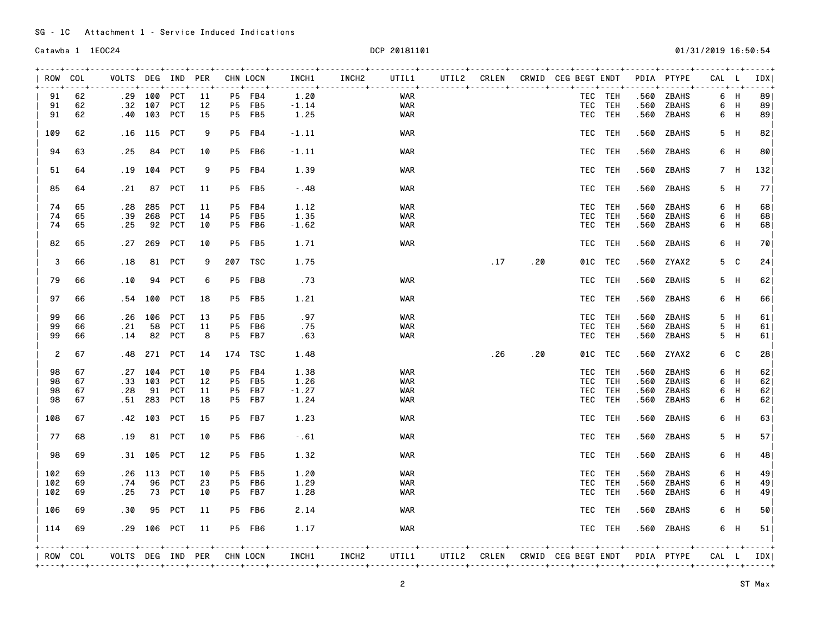SG - 1C Attachment 1 - Service Induced Indications

| ROW COL |         | VOLTS DEG IND PER          |             |            |    |           | CHN LOCN        | INCH1   | INCH2      | UTIL1      |      |     | UTIL2 CRLEN CRWID CEG BEGT ENDT PDIA PTYPE |         |      |            | CAL L          |     | IDX I                  |
|---------|---------|----------------------------|-------------|------------|----|-----------|-----------------|---------|------------|------------|------|-----|--------------------------------------------|---------|------|------------|----------------|-----|------------------------|
| 91      | 62      |                            | .29 100 PCT |            | 11 |           | P5 FB4          | 1.20    | . <b>.</b> | WAR        |      |     |                                            | TEC TEH | .560 | ZBAHS      |                | 6 H | 89                     |
| 91      | 62      | .32                        | 107 PCT     |            | 12 |           | P5 FB5          | $-1.14$ |            | WAR        |      |     |                                            | TEC TEH | .560 | ZBAHS      |                | 6 H | 89                     |
| 91      | 62      | . 40                       | 103 PCT     |            | 15 |           | <b>P5 FB5</b>   | 1.25    |            | WAR        |      |     |                                            | TEC TEH | .560 | ZBAHS      | 6              | - H | 89                     |
|         |         |                            |             |            |    |           |                 |         |            |            |      |     |                                            |         |      |            |                |     |                        |
| 109     | 62      | . 16                       | 115 PCT     |            | 9  |           | P5 FB4          | $-1.11$ |            | <b>WAR</b> |      |     |                                            | TEC TEH | .560 | ZBAHS      |                | 5 H | 82                     |
| 94      | 63      | . 25                       |             | 84 PCT     | 10 |           | P5 FB6          | $-1.11$ |            | WAR        |      |     |                                            | TEC TEH | .560 | ZBAHS      |                | 6 H | 80                     |
| 51      | 64      | . 19                       |             | 104 PCT    | 9  |           | P5 FB4          | 1.39    |            | WAR        |      |     |                                            | TEC TEH | .560 | ZBAHS      |                | 7 H | 132                    |
| 85      | 64      | .21                        |             | 87 PCT     | 11 |           | <b>P5 FB5</b>   | $-0.48$ |            | <b>WAR</b> |      |     |                                            | TEC TEH | .560 | ZBAHS      |                | 5 H | 771                    |
| 74      | 65      | .28                        | 285         | PCT        | 11 |           | P5 FB4          | 1.12    |            | <b>WAR</b> |      |     |                                            | TEC TEH | .560 | ZBAHS      |                | 6 H | 68                     |
| 74      | 65      | .39                        | 268         | PCT        | 14 | P5        | FB5             | 1.35    |            | <b>WAR</b> |      |     |                                            | TEC TEH | .560 | ZBAHS      | 6              | H   | 68                     |
| 74      | 65      | . 25                       | 92          | PCT        | 10 |           | P5 FB6          | $-1.62$ |            | WAR        |      |     |                                            | TEC TEH | .560 | ZBAHS      | 6              | - H | 68                     |
| 82      | 65      | . 27                       | 269         | PCT        | 10 |           | <b>P5 FB5</b>   | 1.71    |            | <b>WAR</b> |      |     |                                            | TEC TEH | .560 | ZBAHS      | 6              | - H | 70                     |
| 3       | 66      | .18                        |             | 81 PCT     | 9  |           | 207 TSC         | 1.75    |            |            | .17  | .20 |                                            | 01C TEC | .560 | ZYAX2      |                | 5 C | 24                     |
| 79      | 66      | .10                        | 94          | <b>PCT</b> | 6  | <b>P5</b> | FB8             | . 73    |            | WAR        |      |     |                                            | TEC TEH | .560 | ZBAHS      | 5              | - H | 62                     |
|         |         |                            |             |            |    |           |                 |         |            |            |      |     |                                            |         |      |            |                |     |                        |
| 97      | 66      | . 54                       | 100         | <b>PCT</b> | 18 |           | <b>P5 FB5</b>   | 1.21    |            | WAR        |      |     |                                            | TEC TEH | .560 | ZBAHS      |                | 6 H | 66                     |
| 99      | 66      | . 26                       | 106         | PCT        | 13 | P5        | FB <sub>5</sub> | .97     |            | <b>WAR</b> |      |     |                                            | TEC TEH | .560 | ZBAHS      | 5              | H   | 61                     |
| 99      | 66      | . 21                       | 58          | PCT        | 11 | P5        | FB6             | . 75    |            | WAR        |      |     |                                            | TEC TEH | .560 | ZBAHS      | 5              | H   | 61                     |
| 99      | 66      | .14                        | 82          | PCT        | 8  | P5        | FB7             | .63     |            | <b>WAR</b> |      |     |                                            | TEC TEH | .560 | ZBAHS      | 5              | H   | 61                     |
| 2       | 67      | . 48                       |             | 271 PCT    | 14 |           | 174 TSC         | 1.48    |            |            | . 26 | .20 |                                            | 01C TEC | .560 | ZYAX2      |                | 6 C | 28                     |
| 98      | 67      | . 27                       | 104         | PCT        | 10 | P5        | FB4             | 1.38    |            | WAR        |      |     |                                            | TEC TEH | .560 | ZBAHS      |                | 6 H | 62                     |
| 98      | 67      | .33                        | 103         | PCT        | 12 | <b>P5</b> | FB5             | 1.26    |            | <b>WAR</b> |      |     |                                            | TEC TEH | .560 | ZBAHS      | 6              | H   | 62                     |
| 98      | 67      | . 28                       | 91          | PCT        | 11 | P5        | FB7             | $-1.27$ |            | WAR        |      |     |                                            | TEC TEH | .560 | ZBAHS      | 6              | H   | 62                     |
| 98      | 67      | . 51                       | 283         | PCT        | 18 | <b>P5</b> | FB7             | 1.24    |            | WAR        |      |     |                                            | TEC TEH | .560 | ZBAHS      | 6              | H   | 62                     |
|         |         |                            |             |            |    |           |                 |         |            |            |      |     |                                            |         |      |            |                |     |                        |
| 108     | 67      | . 42                       | 103         | PCT        | 15 |           | <b>P5 FB7</b>   | 1.23    |            | <b>WAR</b> |      |     |                                            | TEC TEH | .560 | ZBAHS      | 6              | H   | 63                     |
| 77      | 68      | . 19                       |             | 81 PCT     | 10 |           | P5 FB6          | $-0.61$ |            | <b>WAR</b> |      |     |                                            | TEC TEH | .560 | ZBAHS      |                | 5 H | 57 <sub>1</sub>        |
| 98      | 69      | . 31                       | 105         | PCT        | 12 |           | <b>P5 FB5</b>   | 1.32    |            | <b>WAR</b> |      |     |                                            | TEC TEH | .560 | ZBAHS      | 6              | H   | 48                     |
| 102     | 69      | . 26                       | 113         | PCT        | 10 |           | <b>P5 FB5</b>   | 1.20    |            | <b>WAR</b> |      |     |                                            | TEC TEH | .560 | ZBAHS      |                | 6 H | 49                     |
| 102     | 69      | . 74                       |             | 96 PCT     | 23 |           | P5 FB6          | 1.29    |            | <b>WAR</b> |      |     |                                            | TEC TEH | .560 | ZBAHS      |                | 6 H | 49                     |
| 102     | 69      | . 25                       |             | 73 PCT     | 10 |           | P5 FB7          | 1.28    |            | WAR        |      |     |                                            | TEC TEH | .560 | ZBAHS      |                | 6 H | 49                     |
| 106     | 69      | .30                        | 95          | PCT        | 11 |           | P5 FB6          | 2.14    |            | <b>WAR</b> |      |     |                                            | TEC TEH | .560 | ZBAHS      | 6              | - H | 50                     |
| 114     | 69      |                            | .29 106 PCT |            | 11 |           | P5 FB6          | 1.17    |            | WAR        |      |     |                                            | TEC TEH |      | .560 ZBAHS |                | 6 H | 51                     |
|         | ROW COL | VOLTS DEG IND PER CHN LOCN |             |            |    |           |                 | INCH1   | INCH2      | UTIL1      |      |     | UTIL2 CRLEN CRWID CEG BEGT ENDT PDIA PTYPE |         |      |            | -----+------+- |     | - - - - 4<br>CAL L IDX |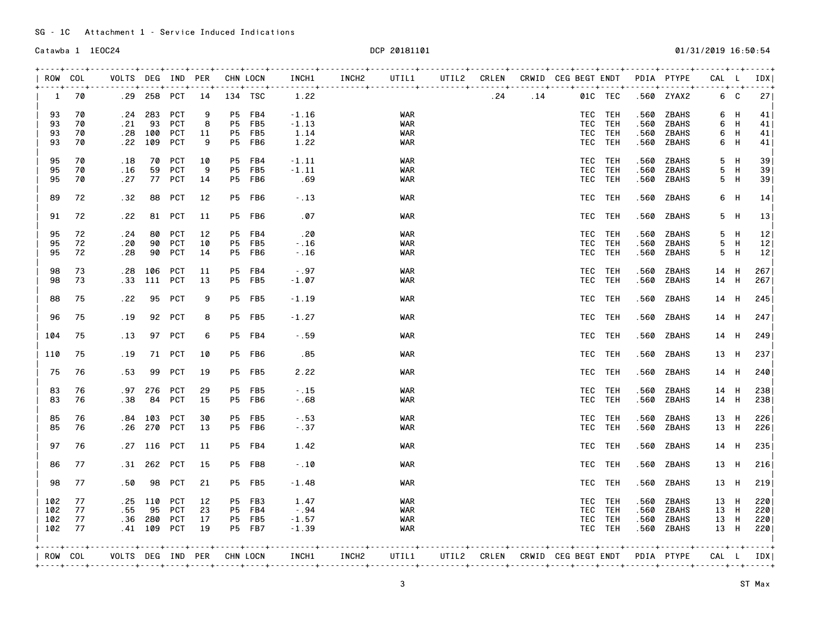| ROW COL |    | VOLTS DEG IND PER<br>. <b>. .</b> |     |             | ---+----+----+-----+ |           | CHN LOCN      | INCH1   | INCH2 | UTIL1      |      |     | UTIL2 CRLEN CRWID CEG BEGT ENDT PDIA PTYPE |         |      |              | CAL L<br><u>. 1 1 .</u> |     | IDX I<br>- - - - 4 |
|---------|----|-----------------------------------|-----|-------------|----------------------|-----------|---------------|---------|-------|------------|------|-----|--------------------------------------------|---------|------|--------------|-------------------------|-----|--------------------|
| 1       | 70 |                                   |     |             | .29 258 PCT 14       | 134 TSC   |               | 1.22    |       |            | . 24 | .14 |                                            | 01C TEC |      | .560 ZYAX2   |                         | 6 C | 271                |
| 93      | 70 | . 24                              | 283 | PCT         | 9                    | P5        | FB4           | $-1.16$ |       | WAR        |      |     |                                            | TEC TEH | .560 | ZBAHS        |                         | 6 H | 41                 |
| 93      | 70 | . 21                              | 93  | PCT         | 8                    | P5        | FB5           | $-1.13$ |       | WAR        |      |     |                                            | TEC TEH | .560 | ZBAHS        |                         | 6 H | 41                 |
| 93      | 70 | . 28                              | 100 | PCT         | 11                   | P5        | FB5           | 1.14    |       | WAR        |      |     |                                            | TEC TEH | .560 | ZBAHS        | 6                       | H   | 41                 |
| 93      | 70 | . 22                              | 109 | PCT         | 9                    | P5        | FB6           | 1.22    |       | WAR        |      |     |                                            | TEC TEH | .560 | ZBAHS        | 6                       | H   | 41                 |
| 95      | 70 | . 18                              | 70  | PCT         | 10                   | <b>P5</b> | FB4           | $-1.11$ |       | <b>WAR</b> |      |     |                                            | TEC TEH | .560 | ZBAHS        | 5                       | H   | 39                 |
| 95      | 70 | .16                               |     | 59 PCT      | 9                    | P5        | FB5           | $-1.11$ |       | <b>WAR</b> |      |     |                                            | TEC TEH | .560 | ZBAHS        | 5                       | H   | 39 <sub>1</sub>    |
| 95      | 70 | .27                               |     | 77 PCT      | 14                   | <b>P5</b> | FB6           | .69     |       | <b>WAR</b> |      |     |                                            | TEC TEH | .560 | ZBAHS        | 5                       | - H | 39                 |
| 89      | 72 | .32                               |     | 88 PCT      | 12                   |           | P5 FB6        | $-13$   |       | <b>WAR</b> |      |     |                                            | TEC TEH | .560 | ZBAHS        | 6                       | - H | 14                 |
| 91      | 72 | . 22                              |     | 81 PCT      | 11                   |           | P5 FB6        | .07     |       | WAR        |      |     |                                            | TEC TEH | .560 | ZBAHS        | 5                       | H   | 13 <sup>1</sup>    |
| 95      | 72 | . 24                              | 80  | PCT         | 12                   | <b>P5</b> | FB4           | . 20    |       | <b>WAR</b> |      |     |                                            | TEC TEH | .560 | ZBAHS        | 5                       | - H | 12                 |
| 95      | 72 | .20                               | 90  | PCT         | 10                   | <b>P5</b> | FB5           | $-.16$  |       | <b>WAR</b> |      |     |                                            | TEC TEH | .560 | ZBAHS        |                         | 5 H | 12                 |
| 95      | 72 | . 28                              | 90  | <b>PCT</b>  | 14                   | <b>P5</b> | FB6           | $-.16$  |       | WAR        |      |     |                                            | TEC TEH | .560 | ZBAHS        | 5                       | H   | 12                 |
| 98      | 73 | . 28                              |     | 106 PCT     | 11                   |           | P5 FB4        | $-.97$  |       | <b>WAR</b> |      |     |                                            | TEC TEH | .560 | ZBAHS        | 14 H                    |     | 267                |
| 98      | 73 | .33                               | 111 | PCT         | 13                   | P5        | FB5           | $-1.07$ |       | <b>WAR</b> |      |     |                                            | TEC TEH | .560 | ZBAHS        | 14 H                    |     | 267                |
| 88      | 75 | .22                               |     | 95 PCT      | 9                    |           | <b>P5 FB5</b> | $-1.19$ |       | <b>WAR</b> |      |     |                                            | TEC TEH | .560 | ZBAHS        | 14 H                    |     | 245                |
| 96      | 75 | . 19                              |     | 92 PCT      | 8                    |           | P5 FB5        | $-1.27$ |       | WAR        |      |     |                                            | TEC TEH |      | .560 ZBAHS   | 14 H                    |     | 247                |
| 104     | 75 | .13                               |     | 97 PCT      | 6                    |           | P5 FB4        | $-0.59$ |       | WAR        |      |     |                                            | TEC TEH | .560 | ZBAHS        | 14 H                    |     | 249                |
| 110     | 75 | . 19                              |     | 71 PCT      | 10                   |           | P5 FB6        | .85     |       | WAR        |      |     |                                            | TEC TEH |      | .560 ZBAHS   | 13 H                    |     | 2371               |
| 75      | 76 | .53                               |     | 99 PCT      | 19                   |           | P5 FB5        | 2.22    |       | WAR        |      |     |                                            | TEC TEH | .560 | ZBAHS        | 14 H                    |     | 240                |
| 83      | 76 | . 97                              | 276 | PCT         | 29                   | P5        | FB5           | $-15$   |       | <b>WAR</b> |      |     |                                            | TEC TEH | .560 | ZBAHS        | 14 H                    |     | 238                |
| 83      | 76 | .38                               | 84  | PCT         | 15                   |           | P5 FB6        | $-0.68$ |       | WAR        |      |     |                                            | TEC TEH | .560 | ZBAHS        | 14 H                    |     | 238                |
|         |    |                                   |     |             |                      |           |               |         |       |            |      |     |                                            |         |      |              |                         |     |                    |
| 85      | 76 | .84                               | 103 | PCT         | 30                   | P5        | FB5           | $-0.53$ |       | <b>WAR</b> |      |     |                                            | TEC TEH | .560 | ZBAHS        | 13 H                    |     | 226                |
| 85      | 76 | . 26                              | 270 | PCT         | 13                   |           | P5 FB6        | $-0.37$ |       | <b>WAR</b> |      |     |                                            | TEC TEH | .560 | ZBAHS        | 13 H                    |     | 226                |
| 97      | 76 | . 27                              |     | 116 PCT     | 11                   |           | P5 FB4        | 1.42    |       | WAR        |      |     |                                            | TEC TEH |      | .560 ZBAHS   | 14 H                    |     | 235                |
| 86      | 77 | .31                               |     | 262 PCT     | 15                   |           | P5 FB8        | $-10$   |       | WAR        |      |     |                                            | TEC TEH |      | .560 ZBAHS   | 13 H                    |     | 216                |
| 98      | 77 | .50                               | 98  | PCT         | 21                   |           | <b>P5 FB5</b> | $-1.48$ |       | <b>WAR</b> |      |     |                                            | TEC TEH | .560 | ZBAHS        | 13 H                    |     | 219                |
| 102     | 77 | . 25                              |     | 110 PCT     | 12                   |           | P5 FB3        | 1.47    |       | <b>WAR</b> |      |     |                                            | TEC TEH | .560 | ZBAHS        | 13 H                    |     | 220                |
| 102     | 77 | .55                               | 95  | PCT         | 23                   | <b>P5</b> | FB4           | $-0.94$ |       | <b>WAR</b> |      |     |                                            | TEC TEH | .560 | <b>ZBAHS</b> | 13 H                    |     | 220                |
| 102     | 77 | .36                               | 280 | PCT         | 17                   |           | P5 FB5        | $-1.57$ |       | WAR        |      |     |                                            | TEC TEH | .560 | ZBAHS        | 13 H                    |     | 220                |
| 102     | 77 |                                   |     | .41 109 PCT | 19                   |           | <b>P5 FB7</b> | $-1.39$ |       | <b>WAR</b> |      |     |                                            | TEC TEH | .560 | ZBAHS        | 13 H                    |     | 2201               |
|         |    |                                   |     |             |                      |           |               |         |       |            |      |     | UTIL2 CRLEN CRWID CEG BEGT ENDT PDIA PTYPE |         |      |              |                         |     | $- - - - +$        |
| ROW COL |    | VOLTS DEG IND PER CHN LOCN        |     |             |                      |           |               | INCH1   | INCH2 | UTIL1      |      |     |                                            |         |      |              | CAL L IDX               |     |                    |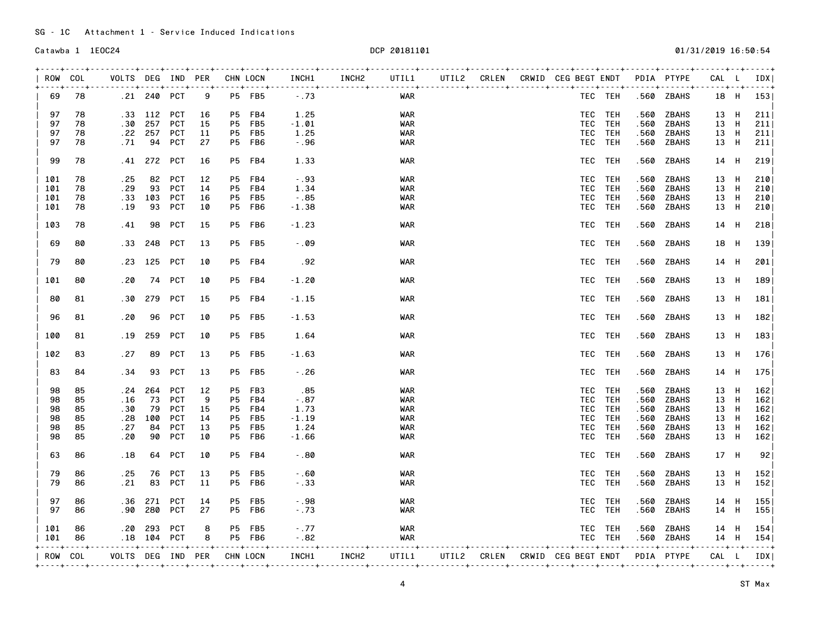| 69<br>97<br>97<br>97<br>97 | 78<br>78<br>78 |                                        | .21 240 PCT |            |                      |           |                       |              |                       |            |  |                              |                                            |                                |              |               |                          |   |
|----------------------------|----------------|----------------------------------------|-------------|------------|----------------------|-----------|-----------------------|--------------|-----------------------|------------|--|------------------------------|--------------------------------------------|--------------------------------|--------------|---------------|--------------------------|---|
|                            |                |                                        |             |            | 9                    |           | <b>P5 FB5</b>         | $-.73$       |                       | WAR        |  |                              |                                            | $- + + - - - + + -$<br>TEC TEH |              | .560 ZBAHS    | 18 H                     |   |
|                            |                |                                        | .33 112 PCT |            | 16                   | P5 a      | FB4                   | 1.25         |                       | WAR        |  |                              |                                            | TEC TEH                        | .560         | ZBAHS         | 13 H                     |   |
|                            |                | .30                                    |             | 257 PCT    | 15                   | <b>P5</b> | FB5                   | $-1.01$      |                       | <b>WAR</b> |  |                              |                                            | TEC TEH                        | .560         | <b>ZBAHS</b>  | 13 H                     |   |
|                            | 78             | .22                                    | 257         | PCT        | 11                   | P5        | FB5                   | 1.25         |                       | WAR        |  |                              |                                            | TEC TEH                        | .560         | ZBAHS         | 13 H                     |   |
|                            | 78             | .71                                    |             | 94 PCT     | 27                   |           | P5 FB6                | $-0.96$      |                       | WAR        |  |                              |                                            | TEC TEH                        | .560         | ZBAHS         | 13 H                     |   |
| 99                         | 78             | . 41                                   |             | 272 PCT    | 16                   |           | P5 FB4                | 1.33         |                       | <b>WAR</b> |  |                              |                                            | TEC TEH                        | .560         | ZBAHS         | 14 H                     |   |
| 101                        | 78             | .25                                    | 82          | PCT        | 12                   | <b>P5</b> | FB4                   | $-.93$       |                       | <b>WAR</b> |  |                              |                                            | TEC TEH                        | .560         | ZBAHS         | 13 H                     |   |
| 101                        | 78             | .29                                    | 93          | PCT        | 14                   | P5        | FB4                   | 1.34         |                       | <b>WAR</b> |  |                              |                                            | TEC TEH                        | .560         | <b>ZBAHS</b>  | 13                       | H |
| 101                        | 78             | .33                                    |             | 103 PCT    | 16                   | P5        | FB5                   | $-0.85$      |                       | <b>WAR</b> |  |                              |                                            | TEC TEH                        | .560         | ZBAHS         | 13 H                     |   |
| 101                        | 78             | .19                                    | 93          | PCT        | 10                   | P5        | FB6                   | $-1.38$      |                       | <b>WAR</b> |  |                              |                                            | TEC TEH                        | .560         | ZBAHS         | 13 H                     |   |
| 103                        | 78             | . 41                                   | 98          | PCT        | 15                   |           | P5 FB6                | $-1.23$      |                       | <b>WAR</b> |  |                              |                                            | TEC TEH                        | .560         | ZBAHS         | 14 H                     |   |
| 69                         | 80             | .33                                    | 248         | PCT        | 13                   |           | <b>P5 FB5</b>         | $-0.09$      |                       | <b>WAR</b> |  |                              |                                            | TEC TEH                        | .560         | ZBAHS         | 18 H                     |   |
| 79                         | 80             | .23                                    |             | 125 PCT    | 10                   |           | P5 FB4                | .92          |                       | <b>WAR</b> |  |                              |                                            | TEC TEH                        | .560         | ZBAHS         | 14 H                     |   |
| 101                        | 80             | . 20                                   | 74          | PCT        | 10                   |           | P5 FB4                | $-1.20$      |                       | <b>WAR</b> |  |                              |                                            | TEC TEH                        | .560         | ZBAHS         | 13 H                     |   |
| 80                         | 81             | .30                                    | 279         | PCT        | 15                   |           | P5 FB4                | $-1.15$      |                       | <b>WAR</b> |  |                              |                                            | TEC TEH                        | .560         | ZBAHS         | 13 H                     |   |
| 96                         | 81             | .20                                    | 96          | PCT        | 10                   |           | <b>P5 FB5</b>         | $-1.53$      |                       | <b>WAR</b> |  |                              |                                            | TEC TEH                        |              | .560 ZBAHS    | 13 H                     |   |
| 100                        | 81             | .19                                    | 259         | PCT        | 10                   |           | P5 FB5                | 1.64         |                       | <b>WAR</b> |  |                              |                                            | TEC TEH                        | .560         | ZBAHS         | 13 H                     |   |
| 102                        | 83             | .27                                    | 89          | PCT        | 13                   |           | P5 FB5                | $-1.63$      |                       | <b>WAR</b> |  |                              |                                            | TEC TEH                        | .560         | ZBAHS         | 13 H                     |   |
| 83                         | 84             | . 34                                   |             | 93 PCT     | 13                   |           | P5 FB5                | $-0.26$      |                       | <b>WAR</b> |  |                              |                                            | TEC TEH                        | .560         | ZBAHS         | 14 H                     |   |
| 98                         | 85             | . 24                                   | 264         | PCT        | 12                   | P5        | FB <sub>3</sub>       | . 85         |                       | <b>WAR</b> |  |                              |                                            | TEC TEH                        | .560         | ZBAHS         | 13 H                     |   |
| 98                         | 85             | . 16                                   | 73          | PCT        | 9                    | P5        | FB4                   | $-0.87$      |                       | <b>WAR</b> |  |                              |                                            | TEC TEH                        | .560         | <b>ZBAHS</b>  | 13 H                     |   |
| 98                         | 85             | .30                                    | 79          | <b>PCT</b> | 15                   | P5        | FB4                   | 1.73         |                       | WAR        |  |                              | TEC                                        | <b>TEH</b>                     | .560         | <b>ZBAHS</b>  | 13 H                     |   |
| 98                         | 85             | . 28                                   | 100         | PCT        | 14                   | P5        | FB5                   | $-1.19$      |                       | WAR        |  |                              |                                            | TEC TEH                        | .560         | ZBAHS         | 13 H                     |   |
| 98                         | 85             | . 27                                   | 84          | PCT        | 13                   | P5        | FB5                   | 1.24         |                       | WAR        |  |                              |                                            | TEC TEH                        | .560         | ZBAHS         | 13 H                     |   |
| 98                         | 85             | . 20                                   | 90          | PCT        | 10                   | P5        | FB6                   | $-1.66$      |                       | <b>WAR</b> |  |                              |                                            | TEC TEH                        | .560         | ZBAHS         | 13 H                     |   |
| 63                         | 86             | .18                                    | 64          | PCT        | 10                   |           | P5 FB4                | $-0.80$      |                       | WAR        |  |                              |                                            | TEC TEH                        | .560         | ZBAHS         | 17 H                     |   |
| 79                         | 86             | . 25                                   | 76          | PCT        | 13                   | P5        | FB5                   | $-0.60$      |                       | <b>WAR</b> |  |                              |                                            | TEC TEH                        | .560         | ZBAHS         | 13 H                     |   |
| 79                         | 86             | . 21                                   | 83          | PCT        | 11                   | P5        | FB6                   | $-0.33$      |                       | <b>WAR</b> |  |                              | TEC                                        | TEH                            | .560         | ZBAHS         | 13 H                     |   |
| 97                         | 86             | .36                                    | 271         | PCT        | 14                   | P5        | FB5                   | $-0.98$      |                       | WAR        |  |                              |                                            | TEC TEH                        | .560         | ZBAHS         | 14 H                     |   |
| 97                         | 86             | .90                                    | 280         | <b>PCT</b> | 27                   | P5        | FB6                   | $-.73$       |                       | <b>WAR</b> |  |                              | TEC                                        | <b>TEH</b>                     | .560         | ZBAHS         | 14 H                     |   |
| 101                        | 86             | . 20                                   | 293         | PCT        | 8                    |           | <b>P5 FB5</b>         | $-.77$       |                       | <b>WAR</b> |  |                              |                                            | TEC TEH                        |              | .560 ZBAHS    | 14 H                     |   |
| 101                        | 86             |                                        | .18 104 PCT |            | 8                    |           | P5 FB6                | $-0.82$      |                       | WAR        |  |                              |                                            | TEC TEH                        |              | .560 ZBAHS    | 14 H                     |   |
| ROW COL                    | $- - - +$      | $- - - - - - - +$<br>VOLTS DEG IND PER |             |            | ---+----+----+-----+ |           | $- - - +$<br>CHN LOCN | . 4<br>INCH1 | . 4 4<br><b>INCH2</b> | UTIL1      |  | ------+-------+---- <b>+</b> | UTIL2 CRLEN CRWID CEG BEGT ENDT PDIA PTYPE |                                | ----+------+ | $- - - - - +$ | $- - - - +$<br>CAL L IDX |   |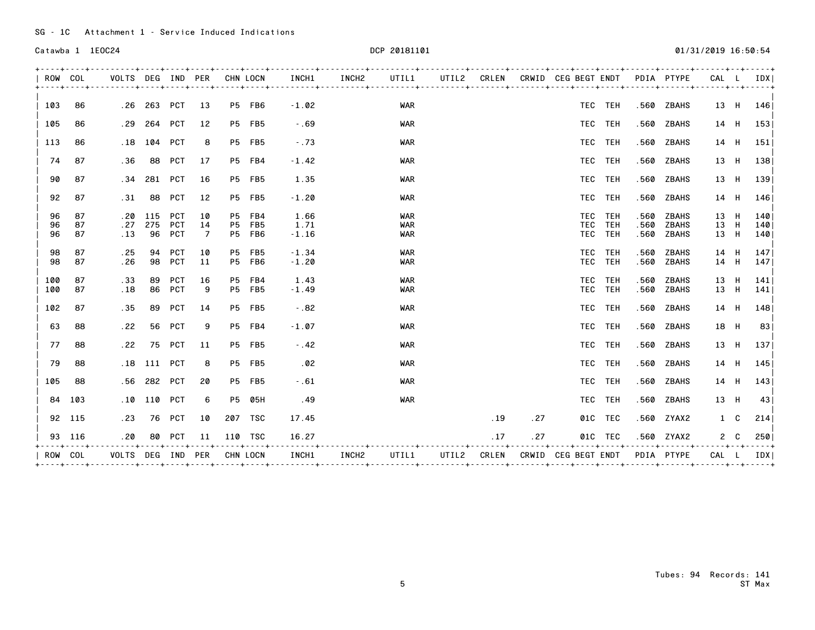| ROW COL        |                | VOLTS DEG IND PER          |                  |                                        |               | CHN LOCN |                                   | INCH1                   | INCH2 | UTIL1             |     |     | UTIL2 CRLEN CRWID CEG BEGT ENDT |                           |              | PDIA PTYPE                   | CAL L                |      | IDX I              |
|----------------|----------------|----------------------------|------------------|----------------------------------------|---------------|----------|-----------------------------------|-------------------------|-------|-------------------|-----|-----|---------------------------------|---------------------------|--------------|------------------------------|----------------------|------|--------------------|
| 103            | 86             |                            | .26 263 PCT 13   |                                        |               |          | P5 FB6                            | $-1.02$                 |       | WAR               |     |     |                                 | TEC TEH                   |              | .560 ZBAHS                   |                      |      | 13 H 146           |
| 105            | 86             |                            | $.29$ 264        | PCT                                    | 12            |          | <b>P5 FB5</b>                     | $-0.69$                 |       | <b>WAR</b>        |     |     |                                 | TEC TEH                   |              | .560 ZBAHS                   |                      |      | 14 H 153           |
| 113            | 86             | .18                        | 104              | <b>PCT</b>                             | 8             |          | P5 FB5                            | $-0.73$                 |       | <b>WAR</b>        |     |     |                                 | TEC TEH                   |              | .560 ZBAHS                   |                      | 14 H | 151                |
| 74             | 87             | .36                        | 88               | <b>PCT</b>                             | 17            |          | P5 FB4                            | $-1.42$                 |       | <b>WAR</b>        |     |     |                                 | TEC TEH                   |              | .560 ZBAHS                   |                      |      | 13 H 138           |
| 90             | 87             | .34                        | 281              | PCT                                    | 16            |          | <b>P5 FB5</b>                     | 1.35                    |       | <b>WAR</b>        |     |     |                                 | TEC TEH                   |              | .560 ZBAHS                   |                      |      | 13 H 139           |
| 92             | 87             | .31                        | 88               | <b>PCT</b>                             | 12            |          | <b>P5 FB5</b>                     | $-1.20$                 |       | WAR               |     |     |                                 | TEC TEH                   |              | .560 ZBAHS                   | 14 H                 |      | 146                |
| 96<br>96<br>96 | 87<br>87<br>87 | . 20<br>.27<br>.13         | 115<br>275<br>96 | <b>PCT</b><br><b>PCT</b><br><b>PCT</b> | 10<br>14<br>7 |          | P5 FB4<br><b>P5 FB5</b><br>P5 FB6 | 1.66<br>1.71<br>$-1.16$ |       | WAR<br>WAR<br>WAR |     |     | TEC                             | TEC TEH<br>TEH<br>TEC TEH | .560<br>.560 | ZBAHS<br>ZBAHS<br>.560 ZBAHS | 13 H<br>13 H<br>13 H |      | 140<br>140 <br>140 |
| 98<br>98       | 87<br>87       | . 25<br>. 26               | 94<br>98         | <b>PCT</b><br><b>PCT</b>               | 10<br>11      |          | <b>P5 FB5</b><br>P5 FB6           | $-1.34$<br>$-1.20$      |       | WAR<br><b>WAR</b> |     |     | TEC                             | TEC TEH<br>TEH            | .560<br>.560 | ZBAHS<br>ZBAHS               | 14 H<br>14 H         |      | 1471<br>147        |
| 100<br>100     | 87<br>87       | .33<br>.18                 | 89<br>86         | <b>PCT</b><br><b>PCT</b>               | 16<br>9       |          | P5 FB4<br>P5 FB5                  | 1.43<br>$-1.49$         |       | <b>WAR</b><br>WAR |     |     |                                 | TEC TEH<br>TEC TEH        | .560<br>.560 | ZBAHS<br>ZBAHS               | 13 H<br>13 H         |      | 141 <br>141        |
| 102            | 87             | .35                        | 89               | PCT                                    | 14            |          | <b>P5 FB5</b>                     | $-.82$                  |       | <b>WAR</b>        |     |     |                                 | TEC TEH                   |              | .560 ZBAHS                   |                      |      | 14 H 148           |
| 63             | 88             | . 22                       | 56               | PCT                                    | 9             |          | P5 FB4                            | $-1.07$                 |       | WAR               |     |     |                                 | TEC TEH                   |              | .560 ZBAHS                   | 18 H                 |      | 83                 |
| 77             | 88             | .22                        | 75               | <b>PCT</b>                             | 11            |          | P5 FB5                            | $-0.42$                 |       | <b>WAR</b>        |     |     |                                 | TEC TEH                   |              | .560 ZBAHS                   | 13 H                 |      | 137                |
| 79             | 88             |                            | .18 111 PCT      |                                        | 8             |          | P5 FB5                            | .02                     |       | <b>WAR</b>        |     |     |                                 | TEC TEH                   |              | .560 ZBAHS                   |                      |      | 14 H 145           |
| 105            | 88             |                            | .56 282          | PCT                                    | 20            |          | <b>P5 FB5</b>                     | $-0.61$                 |       | <b>WAR</b>        |     |     |                                 | TEC TEH                   |              | .560 ZBAHS                   |                      |      | 14 H 143           |
|                | 84 103         |                            | .10 110 PCT      |                                        | 6             |          | P5 05H                            | .49                     |       | <b>WAR</b>        |     |     |                                 | TEC TEH                   |              | .560 ZBAHS                   | 13 H                 |      | 43                 |
|                | 92 115         | .23                        | 76               | PCT                                    | 10            |          | 207 TSC                           | 17.45                   |       |                   | .19 | .27 |                                 | 01C TEC                   |              | .560 ZYAX2                   |                      | 1 C  | 214                |
|                | 93 116         | . 20                       |                  | 80 PCT                                 | 11            |          | 110 TSC                           | 16.27                   |       |                   | .17 | .27 |                                 | 01C TEC                   |              | .560 ZYAX2                   |                      |      | 2 C 250            |
| ROW COL        |                | VOLTS DEG IND PER CHN LOCN |                  |                                        |               |          |                                   | INCH1                   | INCH2 | UTIL1             |     |     | UTIL2 CRLEN CRWID CEG BEGT ENDT |                           |              | PDIA PTYPE                   |                      |      | CAL L IDX          |
|                |                |                            |                  |                                        |               |          |                                   |                         |       |                   |     |     |                                 |                           |              |                              |                      |      |                    |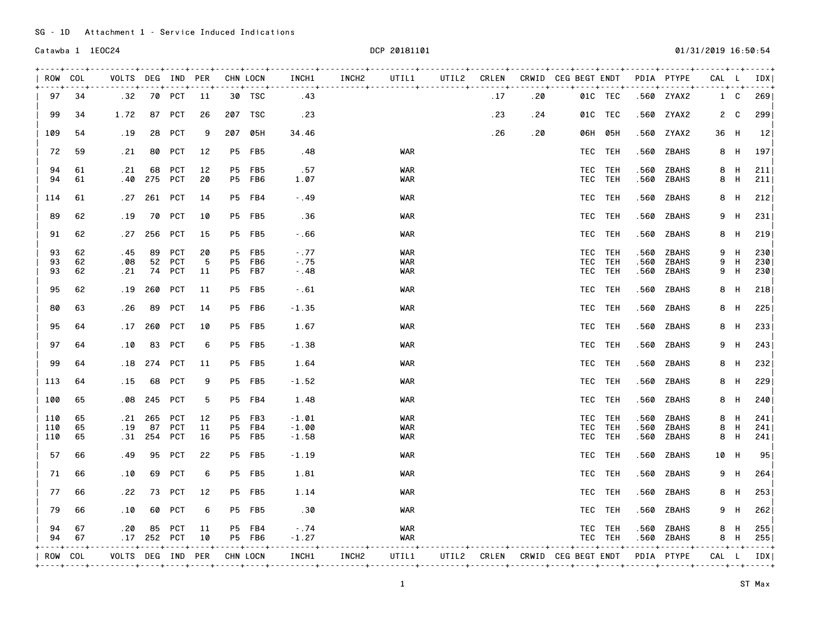| ROW COL |         | VOLTS DEG IND PER          |             |               |           |                | CHN LOCN      | INCH1   | INCH2        | UTIL1      | UTIL2 CRLEN |     |                                 | CRWID CEG BEGT ENDT             |             |      | PDIA PTYPE   | CAL L |            | IDX              |
|---------|---------|----------------------------|-------------|---------------|-----------|----------------|---------------|---------|--------------|------------|-------------|-----|---------------------------------|---------------------------------|-------------|------|--------------|-------|------------|------------------|
| 97      | 34      | .32                        |             | <b>70 PCT</b> | 11        |                | 30 TSC        | .43     |              |            |             | .17 | . 20                            |                                 | 01C TEC     |      | .560 ZYAX2   |       | 1 C        | 269              |
| 99      | 34      | 1.72                       |             | 87 PCT        | 26        |                | 207 TSC       | . 23    |              |            |             | .23 | . 24                            |                                 | 01C TEC     |      | .560 ZYAX2   |       | $2\quad C$ | 299              |
| 109     | 54      | .19                        | 28          | <b>PCT</b>    | 9         |                | 207 05H       | 34.46   |              |            |             | .26 | .20                             |                                 | 06H 05H     |      | .560 ZYAX2   | 36 H  |            | 12               |
| 72      | 59      | .21                        | 80          | PCT           | 12        |                | <b>P5 FB5</b> | . 48    |              | WAR        |             |     |                                 |                                 | TEC TEH     |      | .560 ZBAHS   |       | 8 H        | 197 <sub>1</sub> |
| 94      | 61      | . 21                       | 68          | <b>PCT</b>    | 12        | <b>P5</b>      | FB5           | .57     |              | <b>WAR</b> |             |     |                                 |                                 | TEC TEH     | .560 | <b>ZBAHS</b> |       | 8 H        | 211              |
| 94      | 61      | .40                        | 275         | <b>PCT</b>    | 20        |                | P5 FB6        | 1.07    |              | WAR        |             |     |                                 |                                 | TEC TEH     | .560 | ZBAHS        |       | 8 H        | 211              |
| 114     | 61      | . 27                       | 261         | PCT           | 14        |                | P5 FB4        | $-0.49$ |              | <b>WAR</b> |             |     |                                 |                                 | TEC TEH     | .560 | ZBAHS        |       | 8 H        | $212$            |
| 89      | 62      | .19                        | 70          | PCT           | 10        |                | <b>P5 FB5</b> | .36     |              | <b>WAR</b> |             |     |                                 |                                 | TEC TEH     | .560 | ZBAHS        | 9     | H          | 231              |
| 91      | 62      | .27                        | 256         | PCT           | 15        |                | <b>P5 FB5</b> | $-0.66$ |              | <b>WAR</b> |             |     |                                 |                                 | TEC TEH     | .560 | ZBAHS        |       | 8 H        | 219              |
| 93      | 62      | . 45                       | 89          | <b>PCT</b>    | 20        | <b>P5</b>      | FB5           | $-0.77$ |              | WAR        |             |     |                                 |                                 | TEC TEH     | .560 | ZBAHS        | 9     | H          | 230              |
| 93      | 62      | .08                        | 52          | PCT           | 5         | P <sub>5</sub> | FB6           | $-.75$  |              | WAR        |             |     |                                 |                                 | TEC TEH     | .560 | ZBAHS        | 9     | H          | 230              |
| 93      | 62      | .21                        |             | 74 PCT        | 11        |                | P5 FB7        | $-0.48$ |              | WAR        |             |     |                                 |                                 | TEC TEH     | .560 | <b>ZBAHS</b> | 9     | H          | 230              |
| 95      | 62      | .19                        | 260         | PCT           | 11        |                | P5 FB5        | $-0.61$ |              | <b>WAR</b> |             |     |                                 |                                 | TEC TEH     |      | .560 ZBAHS   |       | 8 H        | 218              |
| 80      | 63      | .26                        | 89          | PCT           | 14        |                | P5 FB6        | $-1.35$ |              | WAR        |             |     |                                 |                                 | TEC TEH     | .560 | ZBAHS        |       | 8 H        | 225              |
| 95      | 64      | .17                        | 260         | PCT           | 10        |                | P5 FB5        | 1.67    |              | WAR        |             |     |                                 |                                 | TEC TEH     | .560 | ZBAHS        |       | 8 H        | 233              |
| 97      | 64      | .10                        | 83          | PCT           | 6         |                | P5 FB5        | $-1.38$ |              | <b>WAR</b> |             |     |                                 |                                 | TEC TEH     |      | .560 ZBAHS   |       | 9 H        | 243              |
| 99      | 64      | . 18                       | 274         | PCT           | 11        |                | <b>P5 FB5</b> | 1.64    |              | <b>WAR</b> |             |     |                                 |                                 | TEC TEH     | .560 | ZBAHS        |       | 8 H        | 232              |
| 113     | 64      | . 15                       | 68          | <b>PCT</b>    | 9         |                | P5 FB5        | $-1.52$ |              | WAR        |             |     |                                 |                                 | TEC TEH     |      | .560 ZBAHS   |       | 8 H        | 229              |
| 100     | 65      | .08                        | 245         | <b>PCT</b>    | 5         |                | P5 FB4        | 1.48    |              | <b>WAR</b> |             |     |                                 |                                 | TEC TEH     | .560 | ZBAHS        |       | 8 H        | 240              |
| 110     | 65      | . 21                       | 265         | <b>PCT</b>    | 12        |                | P5 FB3        | $-1.01$ |              | <b>WAR</b> |             |     |                                 |                                 | TEC TEH     | .560 | ZBAHS        |       | 8 H        | 241              |
| 110     | 65      | .19                        | 87          | <b>PCT</b>    | 11        |                | P5 FB4        | $-1.00$ |              | WAR        |             |     |                                 |                                 | TEC TEH     | .560 | ZBAHS        | 8     | H          | 241              |
| 110     | 65      | . 31                       | 254         | PCT           | 16        |                | <b>P5 FB5</b> | $-1.58$ |              | WAR        |             |     |                                 |                                 | TEC TEH     | .560 | ZBAHS        | 8     | H          | 241              |
| 57      | 66      | . 49                       | 95          | <b>PCT</b>    | 22        |                | <b>P5 FB5</b> | $-1.19$ |              | WAR        |             |     |                                 |                                 | TEC TEH     | .560 | <b>ZBAHS</b> | 10 H  |            | 95               |
| 71      | 66      | .10                        | 69          | <b>PCT</b>    | 6         |                | <b>P5 FB5</b> | 1.81    |              | <b>WAR</b> |             |     |                                 |                                 | TEC TEH     | .560 | ZBAHS        |       | 9 H        | 264              |
| 77      | 66      | . 22                       |             | 73 PCT        | 12        |                | <b>P5 FB5</b> | 1.14    |              | <b>WAR</b> |             |     |                                 |                                 | TEC TEH     |      | .560 ZBAHS   |       | 8 H        | 253              |
| 79      | 66      | .10                        | 60          | <b>PCT</b>    | 6         |                | <b>P5 FB5</b> | .30     |              | <b>WAR</b> |             |     |                                 |                                 | TEC TEH     | .560 | ZBAHS        |       | 9 H        | 262              |
| 94      | 67      | . 20                       |             | 85 PCT        | 11        |                | P5 FB4        | $-.74$  |              | WAR        |             |     |                                 |                                 | TEC TEH     |      | .560 ZBAHS   |       | 8 H        | 255              |
| 94      | 67      |                            | .17 252 PCT |               | 10        |                | P5 FB6        | $-1.27$ |              | WAR        |             |     |                                 |                                 | TEC TEH     |      | .560 ZBAHS   |       | 8 H        | 255              |
|         | $- - +$ | -------                    |             |               | $- - - +$ |                | $- - - +$     | . 4     | . 4 4        |            |             |     | ------ <del>+-------+----</del> |                                 | - - - - + - | . 4  | - - - - - 4  |       |            |                  |
| ROW COL |         | VOLTS DEG IND PER CHN LOCN |             |               |           |                |               | INCH1   | <b>INCH2</b> | UTIL1      |             |     |                                 | UTIL2 CRLEN CRWID CEG BEGT ENDT |             |      | PDIA PTYPE   | CAL L |            | <b>IDXI</b>      |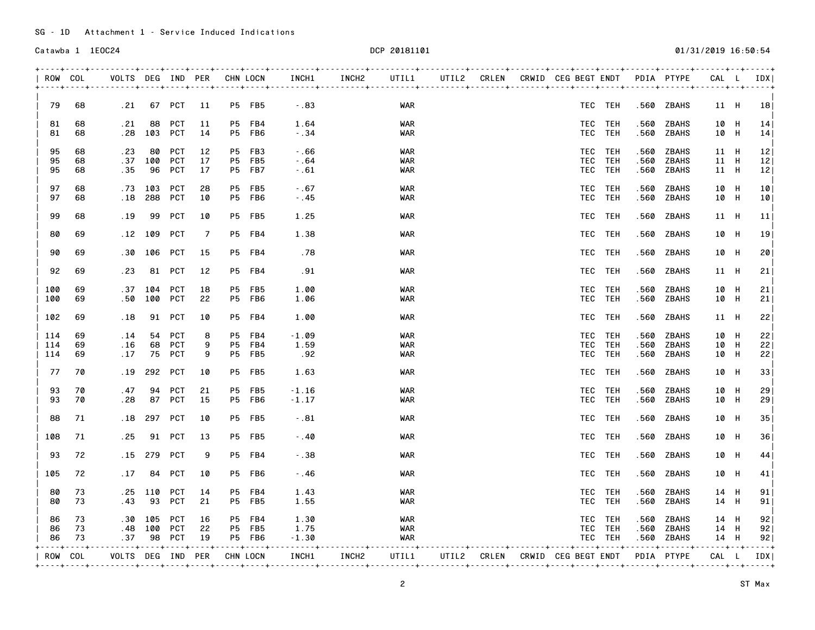|          | ROW COL  |                                                          |                 |                   |               | VOLTS DEG IND PER CHN LOCN |                         | INCH1                   | INCH2        | UTIL1                    |  | UTIL2 CRLEN CRWID CEG BEGT ENDT PDIA PTYPE |                    |              |                             | CAL L               | IDX       |
|----------|----------|----------------------------------------------------------|-----------------|-------------------|---------------|----------------------------|-------------------------|-------------------------|--------------|--------------------------|--|--------------------------------------------|--------------------|--------------|-----------------------------|---------------------|-----------|
| 79       | 68       | .21                                                      |                 | 67 PCT            | 11            |                            | <b>P5 FB5</b>           | $-.83$                  |              | WAR                      |  |                                            | TEC TEH            |              | .560 ZBAHS                  | 11 H                | <b>18</b> |
| 81<br>81 | 68<br>68 | . 21                                                     | 88<br>$.28$ 103 | <b>PCT</b><br>PCT | 11<br>14      |                            | P5 FB4<br><b>P5 FB6</b> | 1.64<br>$-0.34$         |              | <b>WAR</b><br>WAR        |  |                                            | TEC TEH<br>TEC TEH | .560<br>.560 | ZBAHS<br>ZBAHS              | 10 H<br>10 H        | 14 <br>14 |
|          |          |                                                          |                 |                   |               |                            |                         |                         |              |                          |  |                                            |                    |              |                             |                     |           |
| 95       | 68       | . 23                                                     | 80              | PCT               | 12            |                            | P5 FB3                  | $-0.66$                 |              | <b>WAR</b>               |  |                                            | TEC TEH            | .560         | ZBAHS                       | 11 H                | 12        |
| 95       | 68       |                                                          | $.37$ 100       | PCT               | 17            |                            | P5 FB5                  | $-0.64$                 |              | WAR                      |  |                                            | TEC TEH            | .560         | ZBAHS                       | 11 H                |           |
| 95       | 68       | .35                                                      | 96              | PCT               | 17            |                            | <b>P5 FB7</b>           | $-0.61$                 |              | WAR                      |  |                                            | TEC TEH            |              | .560 ZBAHS                  | 11 H                | 12        |
| 97       | 68       | . 73                                                     | 103             | <b>PCT</b>        | 28            |                            | P5 FB5                  | $-0.67$                 |              | <b>WAR</b>               |  |                                            | TEC TEH            | .560         | ZBAHS                       | 10 H                | 10        |
| 97       | 68       | . 18                                                     | 288             | PCT               | 10            |                            | P5 FB6                  | $-0.45$                 |              | <b>WAR</b>               |  |                                            | TEC TEH            |              | .560 ZBAHS                  | 10 H                | 10        |
| 99       | 68       | . 19                                                     | 99              | <b>PCT</b>        | 10            |                            | <b>P5 FB5</b>           | 1.25                    |              | <b>WAR</b>               |  |                                            | TEC TEH            |              | .560 ZBAHS                  | 11 H                |           |
| 80       | 69       |                                                          | .12 109         | <b>PCT</b>        | 7             |                            | P5 FB4                  | 1.38                    |              | WAR                      |  |                                            | TEC TEH            |              | .560 ZBAHS                  | 10 H                |           |
| 90       | 69       | .30                                                      | 106             | PCT               | 15            |                            | P5 FB4                  | . 78                    |              | WAR                      |  |                                            | TEC TEH            |              | .560 ZBAHS                  | 10 H                |           |
| 92       | 69       | .23                                                      | 81              | PCT               | 12            |                            | P5 FB4                  | .91                     |              | <b>WAR</b>               |  |                                            | TEC TEH            |              | .560 ZBAHS                  | 11 H                |           |
| 100      | 69       | .37                                                      | 104             | <b>PCT</b>        | 18            |                            | P5 FB5                  | 1.00                    |              | <b>WAR</b>               |  |                                            | TEC TEH            | .560         | ZBAHS                       | 10 H                |           |
| 100      | 69       | .50                                                      | 100             | PCT               | 22            |                            | P5 FB6                  | 1.06                    |              | <b>WAR</b>               |  |                                            | TEC TEH            | .560         | ZBAHS                       | 10 H                |           |
| 102      | 69       | .18                                                      |                 | 91 PCT            | 10            |                            | P5 FB4                  | 1.00                    |              | <b>WAR</b>               |  |                                            | TEC TEH            |              | .560 ZBAHS                  | 11 H                |           |
| 114      | 69       | .14                                                      |                 | 54 PCT            | 8             |                            | P5 FB4                  | $-1.09$                 |              | <b>WAR</b>               |  |                                            | TEC TEH            | .560         | ZBAHS                       | 10 H                |           |
| 114      | 69       | .16                                                      |                 | 68 PCT            | 9             |                            | P5 FB4                  | 1.59                    |              | <b>WAR</b>               |  |                                            | TEC TEH            | .560         | ZBAHS                       | 10 H                |           |
| 114      | 69       | .17                                                      |                 | 75 PCT            | 9             |                            | <b>P5 FB5</b>           | .92                     |              | <b>WAR</b>               |  |                                            | TEC TEH            | .560         | ZBAHS                       | 10 H                |           |
| 77       | 70       | .19                                                      | 292             | PCT               | 10            |                            | <b>P5 FB5</b>           | 1.63                    |              | <b>WAR</b>               |  |                                            | TEC TEH            |              | .560 ZBAHS                  | 10 H                |           |
| 93       | 70       | .47                                                      | 94              | <b>PCT</b>        | 21            |                            | <b>P5 FB5</b>           | $-1.16$                 |              | WAR                      |  |                                            | TEC TEH            | .560         | ZBAHS                       | 10 H                |           |
| 93       | 70       | . 28                                                     |                 | 87 PCT            | 15            |                            | <b>P5 FB6</b>           | $-1.17$                 |              | <b>WAR</b>               |  |                                            | TEC TEH            | .560         | ZBAHS                       | 10 H                |           |
| 88       | 71       | . 18                                                     |                 | 297 PCT           | 10            |                            | <b>P5 FB5</b>           | $-0.81$                 |              | <b>WAR</b>               |  |                                            | TEC TEH            |              | .560 ZBAHS                  | 10 H                |           |
| 108      | 71       | .25                                                      | 91              | PCT               | 13            |                            | <b>P5 FB5</b>           | $-.40$                  |              | <b>WAR</b>               |  |                                            | TEC TEH            |              | .560 ZBAHS                  | 10 H                |           |
| 93       | 72       | . 15                                                     | 279             | <b>PCT</b>        | 9             |                            | P5 FB4                  | $-0.38$                 |              | <b>WAR</b>               |  |                                            | TEC TEH            | .560         | ZBAHS                       | 10 H                |           |
| 105      | 72       | .17                                                      | 84              | <b>PCT</b>        | 10            |                            | P5 FB6                  | $-0.46$                 |              | <b>WAR</b>               |  |                                            | TEC TEH            |              | .560 ZBAHS                  | 10 H                |           |
|          |          |                                                          |                 |                   |               |                            |                         |                         |              |                          |  |                                            |                    |              |                             |                     |           |
| 80<br>80 | 73<br>73 | .25<br>.43                                               | 110<br>93       | <b>PCT</b><br>PCT | 14<br>21      |                            | P5 FB4<br><b>P5 FB5</b> | 1.43<br>1.55            |              | <b>WAR</b><br><b>WAR</b> |  |                                            | TEC TEH<br>TEC TEH | .560<br>.560 | <b>ZBAHS</b><br>ZBAHS       | 14 H<br>14 H        |           |
|          |          |                                                          |                 |                   |               |                            |                         |                         |              |                          |  |                                            |                    |              |                             |                     |           |
| 86       | 73       |                                                          | .30 105         | PCT               | 16            |                            | P5 FB4                  | 1.30                    |              | <b>WAR</b>               |  |                                            | TEC TEH            |              | .560 ZBAHS                  | 14 H                |           |
| 86       | 73       |                                                          | .48 100         | PCT               | 22            |                            | <b>P5 FB5</b>           | 1.75                    |              | <b>WAR</b>               |  |                                            | TEC TEH            |              | .560 ZBAHS                  | 14 H                |           |
| 86       | 73       | .37<br>- - - <del>4</del> - - - - - - - - - <del>-</del> |                 | 98 PCT            | 19<br>. 4 4 4 | $- - - - - +$              | P5 FB6                  | $-1.30$<br>. <b>. .</b> |              | <b>WAR</b>               |  |                                            | TEC TEH            |              | .560 ZBAHS<br>$- - - - - +$ | 14 H<br>$- - - - +$ | $- - - +$ |
|          | ROW COL  | VOLTS DEG IND PER CHN LOCN                               |                 |                   |               |                            |                         | INCH1                   | <b>INCH2</b> | UTIL1                    |  | UTIL2 CRLEN CRWID CEG BEGT ENDT PDIA PTYPE |                    |              |                             | CAL L               | IDX I     |